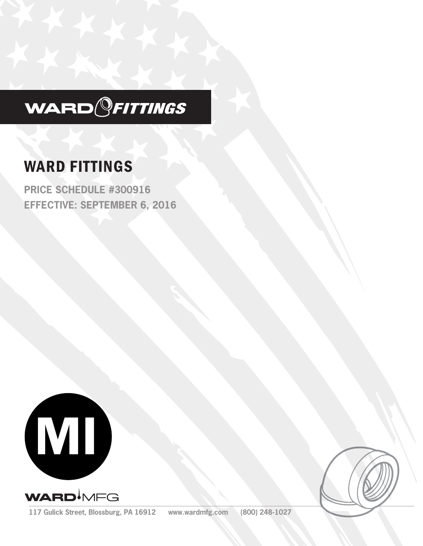

# WARD FITTINGS

**PRICE SCHEDULE #300916 EFFECTIVE: SEPTEMBER 6, 2016**





**117 Gulick Street, Blossburg, PA 16912 www.wardmfg.com (800) 248-1027**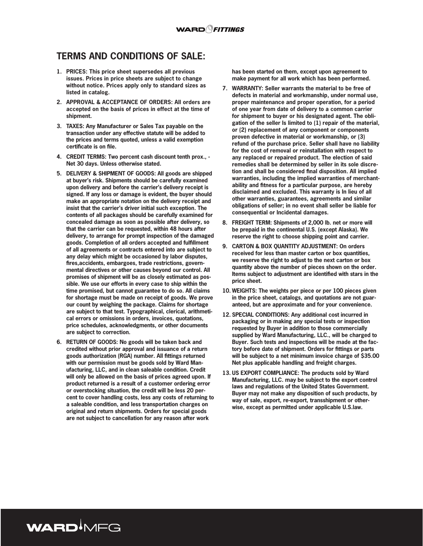## **TERMS AND CONDITIONS OF SALE:**

- **1. PRICES: This price sheet supersedes all previous issues. Prices in price sheets are subject to change without notice. Prices apply only to standard sizes as listed in catalog.**
- **2. APPROVAL & ACCEPTANCE OF ORDERS: All orders are accepted on the basis of prices in effect at the time of shipment.**
- **3. TAXES: Any Manufacturer or Sales Tax payable on the transaction under any effective statute will be added to the prices and terms quoted, unless a valid exemption certificate is on file.**
- **4. CREDIT TERMS: Two percent cash discount tenth prox., Net 30 days. Unless otherwise stated.**
- **5. DELIVERY & SHIPMENT OF GOODS: All goods are shipped at buyer's risk. Shipments should be carefully examined upon delivery and before the carrier's delivery receipt is signed. If any loss or damage is evident, the buyer should make an appropriate notation on the delivery receipt and insist that the carrier's driver initial such exception. The contents of all packages should be carefully examined for concealed damage as soon as possible after delivery, so that the carrier can be requested, within 48 hours after delivery, to arrange for prompt inspection of the damaged goods. Completion of all orders accepted and fulfillment of all agreements or contracts entered into are subject to any delay which might be occasioned by labor disputes, fires,accidents, embargoes, trade restrictions, governmental directives or other causes beyond our control. All promises of shipment will be as closely estimated as possible. We use our efforts in every case to ship within the time promised, but cannot guarantee to do so. All claims for shortage must be made on receipt of goods. We prove our count by weighing the package. Claims for shortage are subject to that test. Typographical, clerical, arithmetical errors or omissions in orders, invoices, quotations, price schedules, acknowledgments, or other documents are subject to correction.**
- **6. RETURN OF GOODS: No goods will be taken back and credited without prior approval and issuance of a return goods authorization (RGA) number. All fittings returned with our permission must be goods sold by Ward Manufacturing, LLC, and in clean saleable condition. Credit will only be allowed on the basis of prices agreed upon. If product returned is a result of a customer ordering error or overstocking situation, the credit will be less 20 percent to cover handling costs, less any costs of returning to a saleable condition, and less transportation charges on original and return shipments. Orders for special goods are not subject to cancellation for any reason after work**

WARD<sup>I</sup>MFG

**has been started on them, except upon agreement to make payment for all work which has been performed.**

- **7. WARRANTY: Seller warrants the material to be free of defects in material and workmanship, under normal use, proper maintenance and proper operation, for a period of one year from date of delivery to a common carrier for shipment to buyer or his designated agent. The obligation of the seller Is limited to (1) repair of the material, or (2) replacement of any component or components proven defective in material or workmanship, or (3) refund of the purchase price. Seller shall have no liability for the cost of removal or reinstallation with respect to any replaced or repaired product. The election of said remedies shall be determined by seller in its sole discretion and shall be considered final disposition. All implied warranties, including the implied warranties of merchantability and fitness for a particular purpose, are hereby disclaimed and excluded. This warranty is In lieu of all other warranties, guarantees, agreements and similar obligations of seller; in no event shall seller be liable for consequential or Incidental damages.**
- **8. FREIGHT TERM: Shipments of 2,000 lb. net or more will be prepaid in the continental U.S. (except Alaska). We reserve the right to choose shipping point and carrier.**
- **9. CARTON & BOX QUANTITY ADJUSTMENT: On orders received for less than master carton or box quantities, we reserve the right to adjust to the next carton or box quantity above the number of pieces shown on the order. Items subject to adjustment are identified with stars in the price sheet.**
- **10. WEIGHTS: The weights per piece or per 100 pieces given in the price sheet, catalogs, and quotations are not guaranteed, but are approximate and for your convenience.**
- **12. SPECIAL CONDITIONS: Any additional cost incurred in packaging or in making any special tests or inspection requested by Buyer in addition to those commercially supplied by Ward Manufacturing, LLC., will be charged to Buyer. Such tests and inspections will be made at the factory before date of shipment. Orders for fittings or parts will be subject to a net minimum invoice charge of \$35.00 Net plus applicable handling and freight charges.**
- **13. US EXPORT COMPLIANCE: The products sold by Ward Manufacturing, LLC. may be subject to the export control laws and regulations of the United States Government. Buyer may not make any disposition of such products, by way of sale, export, re-export, transshipment or otherwise, except as permitted under applicable U.S.law.**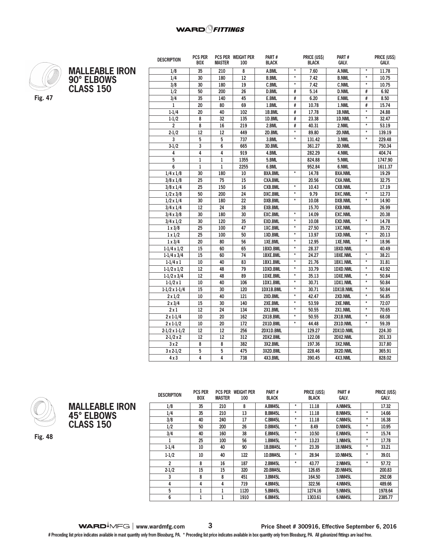

**MALLEABLE IRON 90° ELBOWS CLASS 150**

| ۰, |  |
|----|--|
|----|--|

| <b>DESCRIPTION</b>           | <b>PCS PER</b><br><b>BOX</b> | <b>MASTER</b>   | PCS PER WEIGHT PER<br>100 | Part #<br><b>BLACK</b> |                   | <b>PRICE (USS)</b><br><b>BLACK</b> | Part #<br>GALV. |                   | <b>PRICE (USS)</b><br>GALV. |
|------------------------------|------------------------------|-----------------|---------------------------|------------------------|-------------------|------------------------------------|-----------------|-------------------|-----------------------------|
| 1/8                          | 35                           | 210             | 8                         | A.BML                  | $\star$           | 7.60                               | A.NML           | $\pmb{\star}$     | 11.78                       |
| 1/4                          | 30                           | 180             | 12                        | <b>B.BML</b>           | $\star$           | 7.42                               | <b>B.NML</b>    | $\star$           | 10.75                       |
| 3/8                          | $\overline{30}$              | 180             | 19                        | <b>C.BML</b>           | $\star$           | 7.42                               | <b>C.NML</b>    | $\star$           | 10.75                       |
| 1/2                          | 50                           | 200             | 26                        | <b>D.BML</b>           | #                 | 5.14                               | <b>D.NML</b>    | #                 | 6.92                        |
| 3/4                          | 35                           | 140             | 45                        | E.BML                  | #                 | 6.20                               | E.NML           | #                 | 8.50                        |
| 1                            | 20                           | 80              | 69                        | 1.BML                  | #                 | 10.78                              | 1.NML           | #                 | 15.74                       |
| $1 - 1/4$                    | 20                           | 40              | 102                       | 1B.BML                 | #                 | 17.78                              | 1B.NML          | $\star$           | 24.88                       |
| $1 - 1/2$                    | 8                            | $\overline{32}$ | 135                       | 1D.BML                 | #                 | 23.38                              | 1D.NML          | $\star$           | 32.47                       |
| $\overline{2}$               | 8                            | 16              | 219                       | 2.BML                  | #                 | 40.31                              | 2.NML           | $\star$           | 53.19                       |
| $2 - 1/2$                    | $\overline{12}$              | 12              | 449                       | 2D.BML                 | $\star$           | 89.80                              | 2D.NML          | $\star$           | 139.19                      |
| 3                            | 5                            | 5               | 737                       | 3.BML                  | $\star$           | 131.42                             | 3.NML           | $\star$           | 229.48                      |
| $3-1/2$                      | 3                            | 6               | 665                       | 3D.BML                 |                   | 361.27                             | 3D.NML          |                   | 750.34                      |
| 4                            | 4                            | 4               | 919                       | 4.BML                  |                   | 282.29                             | 4.NML           |                   | 404.74                      |
| 5                            | 1                            | 1               | 1355                      | 5.BML                  |                   | 824.88                             | 5.NML           |                   | 1747.90                     |
| 6                            | 1                            | $\mathbf{1}$    | 2255                      | 6.BML                  |                   | 952.84                             | 6.NML           |                   | 1611.37                     |
| $1/4 \times 1/8$             | $\overline{30}$              | 180             | 10                        | <b>BXA.BML</b>         | $\star$           | 14.78                              | <b>BXA.NML</b>  |                   | 19.29                       |
| $3/8 \times 1/8$             | 25                           | 75              | 15                        | <b>CXA.BML</b>         |                   | 20.56                              | <b>CXA.NML</b>  |                   | 32.75                       |
| $3/8 \times 1/4$             | $\overline{25}$              | 150             | 16                        | <b>CXB.BML</b>         | $\star$           | 10.43                              | <b>CXB.NML</b>  |                   | 17.19                       |
| $1/2 \times 3/8$             | 50                           | 200             | 24                        | <b>DXC.BML</b>         | $\star$           | 9.79                               | <b>DXC.NML</b>  | $\star$           | 12.73                       |
| $1/2 \times 1/4$             | 30                           | 180             | 22                        | <b>DXB.BML</b>         | $\star$           | 10.08                              | <b>DXB.NML</b>  | $\star$           | 14.90                       |
| $3/4 \times 1/4$             | 12                           | 24              | $\overline{28}$           | <b>EXB.BML</b>         |                   | 15.70                              | <b>EXB.NML</b>  |                   | 26.99                       |
| $3/4 \times 3/8$             | 30                           | 180             | 30                        | <b>EXC.BML</b>         | $\star$           | 14.09                              | <b>EXC.NML</b>  |                   | 20.38                       |
| $\frac{1}{3}{4 \times 1}{2}$ | $\overline{30}$              | 120             | $\overline{35}$           | <b>EXD.BML</b>         | $\star$           | 10.08                              | <b>EXD.NML</b>  | $\overline{\ast}$ | 14.78                       |
| $1 \times 3/8$               | 25                           | 100             | 47                        | 1XC.BML                | $\star$           | 27.50                              | 1XC.NML         |                   | 35.72                       |
| $1 \times 1/2$               | 25                           | 100             | 50                        | 1XD.BML                | $\star$           | 13.97                              | 1XD.NML         | $\star$           | 20.13                       |
| $1 \times 3/4$               | $\overline{20}$              | 80              | 56                        | 1XE.BML                | $\overline{\ast}$ | 12.95                              | 1XE.NML         | $\overline{\ast}$ | 18.96                       |
| $1-1/4 \times 1/2$           | 15                           | 60              | 65                        | 1BXD.BML               | $\pmb{\star}$     | 28.37                              | 1BXD.NML        |                   | 40.49                       |
| $1-1/4 \times 3/4$           | 15                           | 60              | 74                        | 1BXE.BML               | $^\star$          | 24.27                              | 1BXE.NML        | $\star$           | 38.21                       |
| $1-1/4 \times 1$             | $10\,$                       | 40              | 83                        | 1BX1.BML               | $\star$           | 21.76                              | 1BX1.NML        | $\star$           | 31.81                       |
| $1-1/2 \times 1/2$           | 12                           | 48              | 79                        | 1DXD.BML               | *                 | 33.79                              | 1DXD.NML        | $\star$           | 43.92                       |
| $1-1/2 \times 3/4$           | $\overline{12}$              | 48              | 89                        | 1DXE.BML               | $\star$           | 35.13                              | <b>1DXE.NML</b> | $^\star$          | 50.84                       |
| $1-1/2 \times 1$             | 10                           | 40              | 106                       | 1DX1.BML               | $\star$           | 30.71                              | 1DX1.NML        | $\star$           | 50.84                       |
| $1-1/2 \times 1-1/4$         | 15                           | 30              | 120                       | 1DX1B.BML              | $\star$           | 30.71                              | 1DX1B.NML       | $\star$           | 50.84                       |
| $2 \times 1/2$               | $10\,$                       | 40              | 121                       | 2XD.BML                | $\star$           | 42.47                              | 2XD.NML         | $\star$           | 56.85                       |
| $2 \times 3/4$               | 15                           | 30              | 140                       | 2XE.BML                | $\pmb{\star}$     | 53.59                              | 2XE.NML         | $\star$           | 72.07                       |
| 2x1                          | 12                           | 24              | 134                       | 2X1.BML                | $\star$           | 50.55                              | 2X1.NML         | $\star$           | 70.65                       |
| $2 \times 1 - 1/4$           | 10                           | 20              | 162                       | 2X1B.BML               | $\star$           | 50.55                              | 2X1B.NML        | $\star$           | 68.08                       |
| $2 \times 1 - 1/2$           | 10                           | 20              | 172                       | 2X1D.BML               | $\star$           | 44.48                              | 2X1D.NML        | $\star$           | 59.39                       |
| $2-1/2 \times 1-1/2$         | 12                           | 12              | 256                       | 2DX1D.BML              |                   | 129.27                             | 2DX1D.NML       |                   | 224.30                      |
| $2-1/2 \times 2$             | 12                           | 12              | 312                       | 2DX2.BML               |                   | 122.08                             | 2DX2.NML        |                   | 201.33                      |
| 3x2                          | 8                            | 8               | 382                       | 3X2.BML                |                   | 197.36                             | 3X2.NML         |                   | 317.80                      |
| $3x2-1/2$                    | 5                            | 5               | 475                       | 3X2D.BML               |                   | 228.46                             | 3X2D.NML        |                   | 365.91                      |
| 4x3                          | 4                            | 4               | 738                       | 4X3.BML                |                   | 390.45                             | 4X3.NML         |                   | 828.02                      |



**Fig. 48**

**MALLEABLE IRON 45° ELBOWS CLASS 150**

**DESCRIPTION PCS PER BOX PCS PER WEIGHT PER MASTER 100 PART # BLACK PRICE (US\$) BLACK PART # GALV. PRICE (US\$) GALV. 1/8 35 210 8 A.BM45L \* 11.18 A.NM45L 17.32 1/4 35 210 13 B.BM45L \* 11.18 B.NM45L \* 14.66 3/8 40 240 17 C.BM45L \* 11.18 C.NM45L \* 16.38 1/2 50 200 26 D.BM45L \* 8.49 D.NM45L \* 10.95 3/4 40 160 38 E.BM45L \* 10.50 E.NM45L \* 15.74 1 25 100 56 1.BM45L \* 13.23 1.NM45L \* 17.78 1-1/4 10 40 90 1B.BM45L \* 23.39 1B.NM45L \* 33.21 1-1/2 10 40 122 1D.BM45L \* 28.94 1D.NM45L \* 39.01 2 8 16 187 2.BM45L \* 43.77 2.NM45L \* 57.72 2-1/2 15 15 320 2D.BM45L 126.65 2D.NM45L 200.83 3 8 8 451 3.BM45L 164.50 3.NM45L 292.08 4 4 4 719 4.BM45L 322.56 4.NM45L 489.66 5 1 1 1120 5.BM45L 1274.16 5.NM45L 1978.64 6 1 1 1910 6.BM45L 1303.61 6.NM45L 2385.77**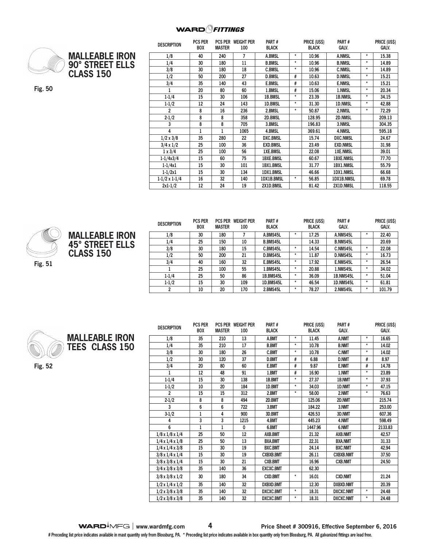

**MALLEABLE IRON 90° STREET ELLS CLASS 150**

**Fig. 50**

| <b>DESCRIPTION</b>   | <b>PCS PER</b><br><b>BOX</b> | <b>MASTER</b> | <b>PCS PER WEIGHT PER</b><br>100 | PART#<br><b>BLACK</b> |         | <b>PRICE (US\$)</b><br><b>BLACK</b> | PART#<br><b>GALV.</b> |         | PRICE (US\$)<br><b>GALV.</b> |
|----------------------|------------------------------|---------------|----------------------------------|-----------------------|---------|-------------------------------------|-----------------------|---------|------------------------------|
| 1/8                  | 40                           | 240           | 7                                | A.BMSL                | $^\ast$ | 10.96                               | <b>A.NMSL</b>         | $\star$ | 15.38                        |
| 1/4                  | 30                           | 180           | 11                               | <b>B.BMSL</b>         | $\star$ | 10.96                               | <b>B.NMSL</b>         | $\star$ | 14.89                        |
| 3/8                  | 30                           | 180           | 18                               | <b>C.BMSL</b>         | $\ast$  | 10.96                               | <b>C.NMSL</b>         | $\star$ | 14.89                        |
| 1/2                  | 50                           | 200           | 27                               | <b>D.BMSL</b>         | #       | 10.63                               | <b>D.NMSL</b>         | $\star$ | 15.21                        |
| 3/4                  | 35                           | 140           | 43                               | <b>E.BMSL</b>         | #       | 10.63                               | <b>E.NMSL</b>         | $\star$ | 15.21                        |
| 1                    | 20                           | 80            | 60                               | 1.BMSL                | #       | 15.06                               | 1.NMSL                | $\star$ | 20.34                        |
| $1 - 1/4$            | 15                           | 30            | 106                              | 1B.BMSL               | $\star$ | 23.39                               | <b>1B.NMSL</b>        | $\star$ | 34.15                        |
| $1 - 1/2$            | 12                           | 24            | 143                              | 1D.BMSL               | $\star$ | 31.30                               | <b>1D.NMSL</b>        | $\star$ | 42.88                        |
| 2                    | 8                            | 16            | 236                              | 2.BMSL                | $\star$ | 50.87                               | 2.NMSL                | $\star$ | 72.29                        |
| $2 - 1/2$            | 8                            | 8             | 358                              | 2D.BMSL               |         | 128.95                              | <b>2D.NMSL</b>        |         | 209.13                       |
| 3                    | 8                            | 8             | 705                              | 3.BMSL                |         | 196.83                              | 3.NMSL                |         | 304.35                       |
| 4                    | $\mathbf{1}$                 | $\mathbf{1}$  | 1065                             | 4.BMSL                |         | 369.61                              | 4.NMSL                |         | 595.18                       |
| $1/2 \times 3/8$     | 35                           | 280           | 22                               | <b>DXC.BMSL</b>       |         | 15.74                               | <b>DXC.NMSL</b>       |         | 24.67                        |
| $3/4 \times 1/2$     | 25                           | 100           | 36                               | <b>EXD.BMSL</b>       |         | 23.49                               | <b>EXD.NMSL</b>       |         | 31.98                        |
| $1 \times 3/4$       | 25                           | 100           | 56                               | <b>1XE.BMSL</b>       |         | 22.08                               | <b>1XE.NMSL</b>       |         | 39.01                        |
| $1 - 1/4x3/4$        | 15                           | 60            | 75                               | <b>1BXE.BMSL</b>      |         | 60.67                               | <b>1BXE.NMSL</b>      |         | 77.70                        |
| $1 - 1/4x1$          | 15                           | 30            | 101                              | 1BX1.BMSL             |         | 31.77                               | <b>1BX1.NMSL</b>      |         | 55.79                        |
| $1 - 1/2x1$          | 15                           | 30            | 134                              | 1DX1.BMSL             |         | 46.66                               | <b>1DX1.NMSL</b>      |         | 66.68                        |
| $1-1/2 \times 1-1/4$ | 16                           | 32            | 140                              | 1DX1B.BMSL            | $\star$ | 56.85                               | 1DX1B.NMSL            |         | 69.78                        |
| $2x1-1/2$            | 12                           | 24            | 19                               | 2X1D.BMSL             |         | 81.42                               | 2X1D.NMSL             |         | 118.55                       |





| <b>DESCRIPTION</b> | PUS PER<br><b>BOX</b> | PUS PER<br><b>MASTER</b> | WEIGHT PER<br>100 | <b>PARI</b> #<br><b>BLACK</b> |        | <b>PRICE (USS)</b><br><b>BLACK</b> | <b>PARI</b> #<br><b>GALV.</b> |         | <b>PRICE (USS)</b><br><b>GALV.</b> |
|--------------------|-----------------------|--------------------------|-------------------|-------------------------------|--------|------------------------------------|-------------------------------|---------|------------------------------------|
| 1/8                | 30                    | 180                      |                   | A.BMS45L                      | ÷      | 17.25                              | A.NMS45L                      |         | 22.40                              |
| 1/4                | 25                    | 150                      | 10                | <b>B.BMS45L</b>               |        | 14.33                              | <b>B.NMS45L</b>               |         | 20.69                              |
| 3/8                | 30                    | 180                      | 15                | C.BMS45L                      | $\ast$ | 14.54                              | C.NMS45L                      | ÷       | 22.08                              |
| 1/2                | 50                    | 200                      | 21                | D.BMS45L                      | $\ast$ | 11.87                              | D.NMS45L                      | $\star$ | 16.73                              |
| 3/4                | 40                    | 160                      | 32                | E.BMS45L                      | $\ast$ | 17.92                              | E.NMS45L                      | ÷       | 26.54                              |
|                    | 25                    | 100                      | 55                | 1.BMS45L                      | $\ast$ | 20.88                              | 1.NMS45L                      | ÷       | 34.02                              |
| $1 - 1/4$          | 25                    | 50                       | 86                | 1B.BMS45L                     | $\ast$ | 36.09                              | 1B.NMS45L                     | $\star$ | 51.04                              |
| $1 - 1/2$          | 15                    | 30                       | 109               | 1D.BMS45L                     | $\ast$ | 46.54                              | 1D.NMS45L                     | $\star$ | 61.81                              |
|                    | 10                    | 20                       | 170               | 2.BMS45L                      | $\ast$ | 78.27                              | 2.NMS45L                      | ÷       | 101.79                             |



**MALLEABLE IRON TEES CLASS 150**

**Fig. 52**

| <b>DESCRIPTION</b>          | <b>PCS PER</b> |               | <b>PCS PER WEIGHT PER</b> | PART#            |          | <b>PRICE (USS)</b> | PART#            |         | <b>PRICE (USS)</b> |
|-----------------------------|----------------|---------------|---------------------------|------------------|----------|--------------------|------------------|---------|--------------------|
|                             | <b>BOX</b>     | <b>MASTER</b> | 100                       | <b>BLACK</b>     |          | <b>BLACK</b>       | <b>GALV.</b>     |         | <b>GALV.</b>       |
| 1/8                         | 35             | 210           | 13                        | A.BMT            | $^\star$ | 11.45              | A.NMT            | *       | 16.65              |
| 1/4                         | 35             | 210           | 17                        | <b>B.BMT</b>     | $\star$  | 10.78              | <b>B.NMT</b>     | *       | 14.02              |
| 3/8                         | 30             | 180           | 26                        | <b>C.BMT</b>     | $\star$  | 10.78              | <b>C.NMT</b>     | $\star$ | 14.02              |
| 1/2                         | 30             | 120           | 37                        | <b>D.BMT</b>     | #        | 6.88               | <b>D.NMT</b>     | #       | 8.97               |
| 3/4                         | 20             | 80            | 60                        | <b>E.BMT</b>     | #        | 9.87               | <b>E.NMT</b>     | #       | 14.78              |
| $\mathbf{1}$                | 12             | 48            | 91                        | 1.BMT            | #        | 16.90              | 1.NMT            | *       | 23.89              |
| $1 - 1/4$                   | 15             | 30            | 138                       | 1B.BMT           | $\star$  | 27.37              | 1B.NMT           | *       | 37.93              |
| $1 - 1/2$                   | 10             | 20            | 184                       | 1D.BMT           | $\star$  | 34.03              | 1D.NMT           | $\star$ | 47.15              |
| $\overline{2}$              | 15             | 15            | 312                       | 2.BMT            | $\star$  | 58.00              | 2.NMT            | $\star$ | 76.63              |
| $2 - 1/2$                   | 8              | 8             | 494                       | 2D.BMT           |          | 125.06             | 2D.NMT           |         | 215.74             |
| 3                           | 6              | 6             | 722                       | 3.BMT            |          | 184.22             | 3.NMT            |         | 253.00             |
| $3-1/2$                     | 1              | 4             | 900                       | 3D.BMT           |          | 426.53             | 3D.NMT           |         | 607.36             |
| 4                           | 3              | 3             | 1215                      | 4.BMT            |          | 445.23             | 4.NMT            |         | 598.49             |
| 6                           | 1              | 1             | 0                         | 6.BMT            |          | 1447.96            | 6.NMT            |         | 2133.83            |
| $1/8 \times 1/8 \times 1/4$ | 25             | 50            | 12                        | <b>AXB.BMT</b>   |          | 21.32              | <b>AXB.NMT</b>   |         | 42.57              |
| $1/4 \times 1/4 \times 1/8$ | 25             | 50            | 13                        | <b>BXA.BMT</b>   |          | 22.31              | <b>BXA.NMT</b>   |         | 31.33              |
| $1/4 \times 1/4 \times 3/8$ | 15             | 30            | 19                        | <b>BXC.BMT</b>   |          | 24.14              | <b>BXC.NMT</b>   |         | 42.94              |
| $3/8 \times 1/4 \times 1/4$ | 15             | 30            | 19                        | <b>CXBXB.BMT</b> |          | 26.11              | <b>CXBXB.NMT</b> |         | 37.50              |
| $3/8 \times 3/8 \times 1/4$ | 15             | 30            | 21                        | <b>CXB.BMT</b>   |          | 16.96              | <b>CXB.NMT</b>   |         | 24.50              |
| $3/4 \times 3/8 \times 3/8$ | 35             | 140           | 36                        | <b>EXCXC.BMT</b> |          | 62.30              |                  |         |                    |
| $3/8 \times 3/8 \times 1/2$ | 30             | 180           | 34                        | <b>CXD.BMT</b>   | $^\star$ | 16.01              | <b>CXD.NMT</b>   |         | 21.24              |
| $1/2 \times 1/4 \times 1/2$ | 35             | 140           | 32                        | <b>DXBXD.BMT</b> |          | 12.30              | <b>DXBXD.NMT</b> |         | 20.39              |
| $1/2 \times 3/8 \times 3/8$ | 35             | 140           | 32                        | DXCXC.BMT        | $^\star$ | 18.31              | <b>DXCXC.NMT</b> | *       | 24.48              |
| $1/2 \times 3/8 \times 3/8$ | 35             | 140           | 32                        | <b>DXCXC.BMT</b> | $^\star$ | 18.31              | <b>DXCXC.NMT</b> | *       | 24.48              |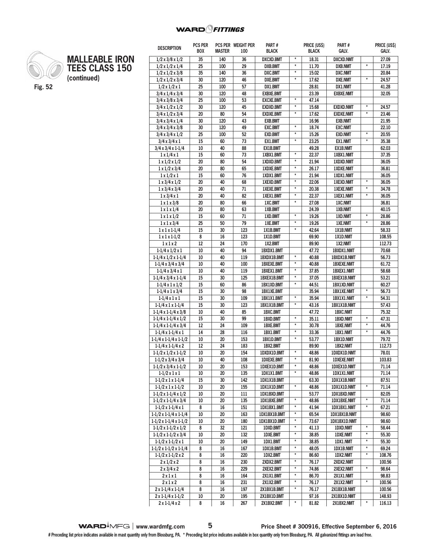**PCS PER WEIGHT PER** 

**PART #**

**PRICE (US\$)** 

**PART #**

**PRICE (US\$)** 

**DESCRIPTION PCS PER** 



**MALLEABLE IRON TEES CLASS 150 (continued)**

| <b>DESCRIPTION</b>                | <b>BOX</b> | <b>MASTER</b> | 100 | <b>BLACK</b>       |                                | <b>BLACK</b> | GALV.              |                           | galv.  |
|-----------------------------------|------------|---------------|-----|--------------------|--------------------------------|--------------|--------------------|---------------------------|--------|
| $1/2 \times 3/8 \times 1/2$       | 35         | 140           | 36  | <b>DXCXD.BMT</b>   | $^\star$                       | 18.31        | <b>DXCXD.NMT</b>   |                           | 27.09  |
| $1/2 \times 1/2 \times 1/4$       | 25         | 100           | 29  | <b>DXB.BMT</b>     | $\star$                        | 11.70        | <b>DXB.NMT</b>     | $\star$                   | 17.19  |
| $1/2 \times 1/2 \times 3/8$       | 35         | 140           | 36  | <b>DXC.BMT</b>     | $\star$                        | 15.02        | <b>DXC.NMT</b>     |                           | 20.84  |
| $1/2 \times 1/2 \times 3/4$       | 30         | 120           | 46  | <b>DXE.BMT</b>     | $\pmb{\ast}$                   | 17.62        | <b>DXE.NMT</b>     | $\pmb{\star}$             | 24.57  |
| $1/2 \times 1/2 \times 1$         | 25         | 100           | 57  | DX1.BMT            |                                | 28.81        | DX1.NMT            |                           | 41.28  |
| $3/4 \times 1/4 \times 3/4$       | 30         | 120           | 48  | <b>EXBXE.BMT</b>   |                                | 23.39        | <b>EXBXE.NMT</b>   |                           | 32.05  |
| $3/4 \times 3/8 \times 3/4$       | 25         | 100           | 53  | <b>EXCXE.BMT</b>   | $\star$                        | 47.14        |                    |                           |        |
| $3/4 \times 1/2 \times 1/2$       | 30         | 120           | 45  | <b>EXDXD.BMT</b>   | $^\star$                       | 15.68        | <b>EXDXD.NMT</b>   | $^\star$                  | 24.57  |
| $3/4 \times 1/2 \times 3/4$       | 20         | 80            | 54  | <b>EXDXE.BMT</b>   | $\pmb{\star}$                  | 17.62        | <b>EXDXE.NMT</b>   | $\star$                   | 23.46  |
| $3/4 \times 3/4 \times 1/4$       | 30         | 120           | 43  | <b>EXB.BMT</b>     |                                | 16.96        | <b>EXB.NMT</b>     |                           | 21.95  |
| $3/4 \times 3/4 \times 3/8$       | 30         | 120           | 49  | <b>EXC.BMT</b>     | $\pmb{\ast}$                   | 18.74        | <b>EXC.NMT</b>     |                           | 22.10  |
| $3/4 \times 3/4 \times 1/2$       | 25         | 100           | 52  | <b>EXD.BMT</b>     | $\star$                        | 15.26        | <b>EXD.NMT</b>     | $\star$                   | 20.55  |
| $3/4 \times 3/4 \times 1$         | 15         | 60            | 73  | EX1.BMT            | $\pmb{\star}$                  | 23.25        | EX1.NMT            | $\star$                   | 35.38  |
| $3/4 \times 3/4 \times 1 - 1/4$   | 10         | 40            | 88  | EX1B.BMT           |                                | 49.28        | <b>EX1B.NMT</b>    |                           | 62.03  |
| $1 \times 1/4 \times 1$           | 15         | 60            | 73  | 1XBX1.BMT          | $\star$                        | 22.37        | 1XBX1.NMT          |                           | 37.35  |
| $1 \times 1/2 \times 1/2$         | 20         | 80            | 54  | 1XDXD.BMT          | $\pmb{\ast}$                   | 21.94        | <b>1XDXD.NMT</b>   |                           | 36.05  |
| $1 \times 1/2 \times 3/4$         | 20         | 80            | 65  | 1XDXE.BMT          | $\star$                        | 26.17        | <b>1XDXE.NMT</b>   |                           | 36.81  |
| $1 \times 1/2 \times 1$           | 15         | 60            | 76  | 1XDX1.BMT          | $\pmb{\star}$                  | 21.94        | 1XDX1.NMT          |                           | 36.05  |
| $1 \times 3/4 \times 1/2$         | 20         | 40            | 68  | 1XEXD.BMT          | $\pmb{\star}$                  | 22.06        | <b>1XEXD.NMT</b>   | $\pmb{\star}$             | 36.05  |
| $1 \times 3/4 \times 3/4$         | 20         | 40            | 71  | <b>1XEXE.BMT</b>   | $\pmb{\star}$                  | 20.38        | <b>1XEXE.NMT</b>   | $\star$                   | 34.78  |
| $1 \times 3/4 \times 1$           | 20         | 40            | 82  | 1XEX1.BMT          | $^\star$                       | 22.37        | 1XEX1.NMT          | $\pmb{\star}$             | 36.05  |
| $1 \times 1 \times 3/8$           | 20         | 80            | 66  | 1XC.BMT            | $\star$                        | 27.08        | <b>1XC.NMT</b>     |                           | 36.81  |
| $1 \times 1 \times 1/4$           | 20         | 80            | 63  | 1XB.BMT            |                                | 24.39        | 1XB.NMT            |                           | 40.15  |
| $1 \times 1 \times 1/2$           | 15         | 60            | 71  | 1XD.BMT            | $\pmb{\ast}$                   | 19.26        | <b>1XD.NMT</b>     | $^\star$                  | 28.86  |
| $1 \times 1 \times 3/4$           | 25         | 50            | 79  | 1XE.BMT            | $\pmb{\star}$                  | 19.26        | 1XE.NMT            | $\star$                   | 28.86  |
| $1 \times 1 \times 1 - 1/4$       | 15         | 30            | 123 | 1X1B.BMT           | $\star$                        | 42.64        | 1X1B.NMT           |                           | 58.33  |
| $1 \times 1 \times 1 - 1/2$       | 8          | 16            | 123 | 1X1D.BMT           |                                | 69.90        | 1X1D.NMT           |                           | 108.55 |
| 1x1x2                             | 12         | 24            | 170 | 1X2.BMT            |                                | 89.90        | 1X2.NMT            |                           | 112.73 |
| $1-1/4 \times 1/2 \times 1$       | 10         | 40            | 94  | 1BXDX1.BMT         |                                | 47.72        | 1BXDX1.NMT         |                           | 70.68  |
| $1-1/4 \times 1/2 \times 1-1/4$   | 10         | 40            | 119 | 1BXDX1B.BMT        | $\pmb{\star}$                  | 40.88        | 1BXDX1B.NMT        |                           | 56.73  |
| $1-1/4 \times 3/4 \times 3/4$     | 10         | 40            | 100 | <b>1BXEXE.BMT</b>  | $\pmb{\star}$                  | 40.88        | <b>1BXEXE.NMT</b>  |                           | 61.72  |
| $1-1/4 \times 3/4 \times 1$       | 10         | 40            | 119 | 1BXEX1.BMT         | $\pmb{\star}$                  | 37.85        | 1BXEX1.NMT         |                           | 58.68  |
| $1-1/4 \times 3/4 \times 1-1/4$   | 15         | 30            | 125 | <b>1BXEX1B.BMT</b> | $\pmb{\star}$                  | 37.05        | <b>1BXEX1B.NMT</b> |                           | 53.21  |
| $1-1/4 \times 1 \times 1/2$       | 15         | 60            | 86  | 1BX1XD.BMT         | $\star$                        | 44.51        | 1BX1XD.NMT         |                           | 60.27  |
| $1-1/4 \times 1 \times 3/4$       | 15         | 30            | 98  | <b>1BX1XE.BMT</b>  |                                | 35.94        | <b>1BX1XE.NMT</b>  | $\star$                   | 56.73  |
| $1 - 1/4 x 1 x 1$                 | 15         | 30            | 109 | 1BX1X1.BMT         | $\pmb{\star}$<br>$\pmb{\ast}$  | 35.94        | 1BX1X1.NMT         | $\star$                   | 54.31  |
| $1-1/4 \times 1 \times 1-1/4$     | 15         | 30            | 123 | 1BX1X1B.BMT        |                                | 43.16        | 1BX1X1B.NMT        |                           | 57.43  |
| $1-1/4 \times 1-1/4 \times 3/8$   | 10         | 40            | 85  | 1BXC.BMT           | $\pmb{\star}$                  | 47.72        | <b>1BXC.NMT</b>    | $\pmb{\star}$             | 75.32  |
| $1-1/4 \times 1-1/4 \times 1/2$   | 15         | 30            | 99  | 1BXD.BMT           |                                | 35.11        | 1BXD.NMT           | $\star$                   | 47.31  |
| $1-1/4 \times 1-1/4 \times 3/4$   | 12         | 24            | 109 | <b>1BXE.BMT</b>    | $\pmb{\star}$<br>$\pmb{\star}$ | 30.78        | <b>1BXE.NMT</b>    |                           | 44.76  |
| $1-1/4 \times 1-1/4 \times 1$     | 14         | 28            | 116 | 1BX1.BMT           | $\star$                        | 33.36        | 1BX1.NMT           | $\pmb{\star}$             | 44.76  |
| $1-1/4 \times 1-1/4 \times 1-1/2$ | 10         | 20            | 153 | 1BX1D.BMT          |                                | 53.77        | 1BX1D.NMT          |                           | 79.72  |
| $1-1/4 \times 1-1/4 \times 2$     | 12         | 24            | 183 | 1BX2.BMT           | $\pmb{\ast}$                   | 89.90        | 1BX2.NMT           |                           | 112.73 |
| $1-1/2 \times 1/2 \times 1-1/2$   | 10         | 20            | 154 | 1DXDX1D.BMT        |                                | 48.86        | 1DXDX1D.NMT        |                           | 78.01  |
| $1-1/2 \times 3/4 \times 3/4$     | 10         | 40            | 108 | <b>1DXEXE.BMT</b>  | $\pmb{\ast}$<br>$\star$        | 81.90        | <b>1DXEXE.NMT</b>  |                           | 103.83 |
| $1-1/2 \times 3/4 \times 1-1/2$   | 10         | 20            | 153 | 1DXEX1D.BMT        |                                | 48.86        | <b>1DXEX1D.NMT</b> |                           | 71.14  |
| $1-1/2 \times 1 \times 1$         | 10         | 20            | 135 | 1DX1X1.BMT         | $\pmb{\ast}$                   | 48.86        | 1DX1X1.NMT         |                           | 71.14  |
| $1-1/2 \times 1 \times 1-1/4$     | 15         | 30            | 142 | 1DX1X1B.BMT        | $\pmb{\star}$                  | 63.30        | 1DX1X1B.NMT        |                           | 87.51  |
| $1-1/2 \times 1 \times 1-1/2$     | 10         | 20            | 155 | 1DX1X1D.BMT        |                                | 48.86        | 1DX1X1D.NMT        | $^\star$                  | 71.14  |
| $1-1/2 \times 1-1/4 \times 1/2$   | 10         | 20            | 111 | 1DX1BXD.BMT        | $\pmb{\ast}$                   | 53.77        | 1DX1BXD.NMT        |                           | 82.05  |
| $1-1/2 \times 1-1/4 \times 3/4$   | 10         | 20            | 135 | 1DX1BXE.BMT        | $\star$                        | 48.86        | <b>1DX1BXE.NMT</b> | $^\star$<br>$\pmb{\star}$ | 71.14  |
| $1-1/2 \times 1-1/4 \times 1$     | 8          | 16            | 151 | 1DX1BX1.BMT        | $^\star$                       | 41.94        | 1DX1BX1.NMT        |                           | 67.21  |
| 1-1/2 x 1-1/4 x 1-1/4             | 10         | 20            | 163 | 1DX1BX1B.BMT       | $\pmb{\star}$                  | 65.54        | 1DX1BX1B.NMT       |                           | 98.60  |
| $1-1/2 \times 1-1/4 \times 1-1/2$ | 10         | 20            | 180 | 1DX1BX1D.BMT       | $\pmb{\star}$                  | 73.67        | 1DX1BX1D.NMT       | $\star$                   | 98.60  |
| $1-1/2 \times 1-1/2 \times 1/2$   | 8          | 32            | 121 | 1DXD.BMT           | $\pmb{\ast}$                   | 41.13        | 1DXD.NMT           | $\pmb{\ast}$              | 58.44  |
| $1-1/2 \times 1-1/2 \times 3/4$   | 10         | 20            | 132 | 1DXE.BMT           | $\pmb{\star}$                  | 38.85        | <b>1DXE.NMT</b>    | $\pmb{\star}$             | 55.30  |
| $1-1/2 \times 1-1/2 \times 1$     | 10         | 20            | 149 | 1DX1.BMT           | $^\star$                       | 38.85        | <b>IDX1.NMT</b>    |                           | 55.30  |
| 1-1/2 x 1-1/2 x 1-1/4             | 8          | 16            | 167 | 1DX1B.BMT          | $\pmb{\ast}$                   | 48.05        | 1DX1B.NMT          | $^\star$<br>$\pmb{\star}$ | 69.24  |
| $1-1/2 \times 1-1/2 \times 2$     | 8          | 16            | 220 | 1DX2.BMT           |                                | 86.60        | 1DX2.NMT           |                           | 108.76 |
| $2 \times 1/2 \times 2$           | 8          | 16            | 230 | 2XDX2.BMT          | $\star$                        | 76.17        | 2XDX2.NMT          |                           | 100.56 |
| $2 \times 3/4 \times 2$           | 8          | 16            | 229 | 2XEX2.BMT          | $\pmb{\ast}$                   | 74.86        | 2XEX2.NMT          | $\pmb{\ast}$              | 98.64  |
| 2x1x1                             | 8          | 16            | 164 | 2X1X1.BMT          | $\star$                        | 86.70        | 2X1X1.NMT          |                           | 98.83  |
| 2x1x2                             | 8          | 16            | 231 | 2X1X2.BMT          | $\pmb{\ast}$                   | 76.17        | <b>2X1X2.NMT</b>   | $^\star$                  | 100.56 |
| $2 \times 1 - 1/4 \times 1 - 1/4$ | 8          | 16            | 197 | 2X1BX1B.BMT        | $^\star$                       | 76.17        | 2X1BX1B.NMT        |                           | 100.56 |
| $2 \times 1 - 1/4 \times 1 - 1/2$ | 10         | 20            | 195 | 2X1BX1D.BMT        |                                | 97.16        | 2X1BX1D.NMT        |                           | 148.93 |
| $2 \times 1 - 1/4 \times 2$       | 8          | 16            | 267 | 2X1BX2.BMT         | $^\star$                       | 81.82        | 2X1BX2.NMT         | $\pmb{\ast}$              | 116.13 |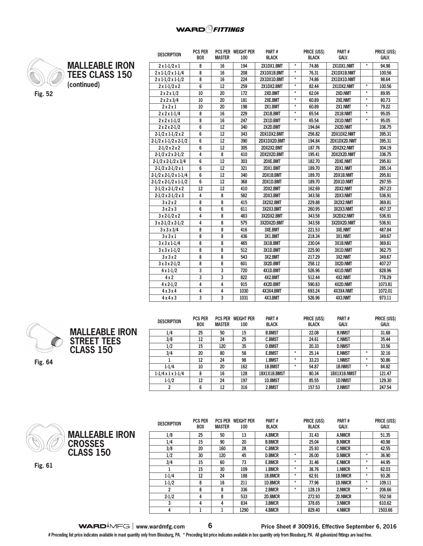

**MALLEABLE IRON TEES CLASS 150 (continued)**

| <b>DESCRIPTION</b>                | PUS PER<br><b>BOX</b> | <b>MASTER</b> | <b>PUS PER WEIGHT PER</b><br>100 | <b>PARI#</b><br><b>BLACK</b> |         | <b>PRICE (USS)</b><br><b>BLACK</b> | <b>PARI#</b><br>GALV. |         | <b>PRICE (USS)</b><br>GALV. |
|-----------------------------------|-----------------------|---------------|----------------------------------|------------------------------|---------|------------------------------------|-----------------------|---------|-----------------------------|
| $2 \times 1 - 1/2 \times 1$       | 8                     | 16            | 194                              | 2X1DX1.BMT                   | $\star$ | 74.86                              | 2X1DX1.NMT            | $\star$ | 94.98                       |
| $2 \times 1 - 1/2 \times 1 - 1/4$ | 8                     | 16            | 208                              | 2X1DX1B.BMT                  | $\star$ | 76.31                              | 2X1DX1B.NMT           |         | 100.56                      |
| $2 \times 1 - 1/2 \times 1 - 1/2$ | 8                     | 16            | 224                              | 2X1DX1D.BMT                  | $\star$ | 74.86                              | 2X1DX1D.NMT           |         | 98.64                       |
| $2 \times 1 - 1/2 \times 2$       | 6                     | 12            | 259                              | 2X1DX2.BMT                   | $\star$ | 82.44                              | 2X1DX2.NMT            | $\star$ | 100.56                      |
| $2 \times 2 \times 1/2$           | 10                    | 20            | 172                              | 2XD.BMT                      | ¥       | 62.04                              | 2XD.NMT               | $\star$ | 89.95                       |
| $2 \times 2 \times 3/4$           | 10                    | 20            | 181                              | 2XE.BMT                      | $\star$ | 60.89                              | 2XE.NMT               | $\star$ | 80.73                       |
| 2x2x1                             | 10                    | 20            | 198                              | 2X1.BMT                      | $\star$ | 60.89                              | 2X1.NMT               | $\star$ | 79.22                       |
| $2 \times 2 \times 1 - 1/4$       | 8                     | 16            | 229                              | 2X1B.BMT                     | $\star$ | 65.54                              | 2X1B.NMT              | $\star$ | 95.05                       |
| $2 \times 2 \times 1 - 1/2$       | 8                     | 16            | 247                              | 2X1D.BMT                     | $\star$ | 65.54                              | 2X1D.NMT              | $\star$ | 95.05                       |
| $2 \times 2 \times 2 - 1/2$       | 6                     | 12            | 340                              | 2X2D.BMT                     |         | 194.84                             | 2X2D.NMT              |         | 336.75                      |
| $2-1/2 \times 1-1/2 \times 2$     | 6                     | 12            | 343                              | 2DX1DX2.BMT                  |         | 256.82                             | 2DX1DX2.NMT           |         | 395.31                      |
| $2-1/2 \times 1-1/2 \times 2-1/2$ | 6                     | 12            | 390                              | 2DX1DX2D.BMT                 |         | 194.84                             | 2DX1DX2D.NMT          |         | 395.31                      |
| $2-1/2 \times 2 \times 2$         | 6                     | 12            | 305                              | 2DX2X2.BMT                   |         | 187.76                             | 2DX2X2.NMT            |         | 304.19                      |
| $2-1/2 \times 2 \times 2-1/2$     | 4                     | 8             | 410                              | 2DX2X2D.BMT                  |         | 195.41                             | 2DX2X2D.NMT           |         | 336.75                      |
| $2-1/2 \times 2-1/2 \times 3/4$   | 6                     | 12            | 303                              | 2DXE.BMT                     |         | 182.70                             | 2DXE.NMT              |         | 295.81                      |
| $2-1/2 \times 2-1/2 \times 1$     | 6                     | 12            | 321                              | 2DX1.BMT                     |         | 189.70                             | 2DX1.NMT              |         | 285.14                      |
| $2-1/2 \times 2-1/2 \times 1-1/4$ | 6                     | 12            | 340                              | 2DX1B.BMT                    |         | 189.70                             | 2DX1B.NMT             |         | 295.81                      |
| $2-1/2 \times 2-1/2 \times 1-1/2$ | 6                     | 12            | 368                              | 2DX1D.BMT                    |         | 189.70                             | 2DX1D.NMT             |         | 297.55                      |
| $2-1/2 \times 2-1/2 \times 2$     | 12                    | 12            | 410                              | 2DX2.BMT                     |         | 162.69                             | 2DX2.NMT              |         | 267.23                      |
| $2-1/2 \times 2-1/2 \times 3$     | 4                     | 8             | 582                              | 2DX3.BMT                     |         | 343.58                             | 2DX3.NMT              |         | 536.91                      |
| 3x2x2                             | 8                     | 8             | 415                              | 3X2X2.BMT                    |         | 229.88                             | 3X2X2.NMT             |         | 369.81                      |
| 3x2x3                             | 6                     | 6             | 611                              | 3X2X3.BMT                    |         | 260.95                             | 3X2X3.NMT             |         | 457.37                      |
| $3 \times 2 - 1/2 \times 2$       | 4                     | 8             | 483                              | 3X2DX2.BMT                   |         | 343.58                             | 3X2DX2.NMT            |         | 536.91                      |
| $3 \times 2 - 1/2 \times 2 - 1/2$ | 4                     | 8             | 575                              | 3X2DX2D.BMT                  |         | 343.58                             | 3X2DX2D.NMT           |         | 536.91                      |
| 3x3x3/4                           | 8                     | 8             | 416                              | 3XE.BMT                      |         | 221.53                             | 3XE.NMT               |         | 487.84                      |
| 3x3x1                             | 8                     | 8             | 436                              | 3X1.BMT                      |         | 218.34                             | 3X1.NMT               |         | 349.67                      |
| $3x3x1-1/4$                       | 8                     | 8             | 465                              | 3X1B.BMT                     |         | 230.04                             | 3X1B.NMT              |         | 369.81                      |
| $3 \times 3 \times 1 - 1/2$       | 8                     | 8             | 512                              | 3X1D.BMT                     |         | 225.90                             | 3X1D.NMT              |         | 362.75                      |
| 3x3x2                             | 8                     | 8             | 543                              | 3X2.BMT                      |         | 217.29                             | 3X2.NMT               |         | 349.67                      |
| $3x3x2-1/2$                       | 8                     | 8             | 601                              | 3X2D.BMT                     |         | 258.12                             | 3X2D.NMT              |         | 407.27                      |
| $4 \times 1 - 1/2$                | 3                     | 3             | 720                              | 4X1D.BMT                     |         | 526.96                             | 4X1D.NMT              |         | 828.96                      |
| $4 \times 2$                      | 3                     | 3             | 822                              | 4X2.BMT                      |         | 512.44                             | 4X2.NMT               |         | 778.29                      |
| $4 \times 2 - 1/2$                | $\overline{4}$        | 4             | 915                              | 4X2D.BMT                     |         | 590.83                             | 4X2D.NMT              |         | 1073.81                     |
| 4x3x4                             | $\overline{4}$        | 4             | 1030                             | 4X3X4.BMT                    |         | 693.24                             | 4X3X4.NMT             |         | 1072.01                     |
| 4x4x3                             | 3                     | 3             | 1031                             | 4X3.BMT                      |         | 526.96                             | 4X3.NMT               |         | 973.11                      |

**PART #**

**PRICE (US\$)** 

**PART #**

**PRICE (US\$)** 



| <b>DESCRIPTION</b>            | <b>PCS PER</b><br><b>BOX</b> | <b>PCS PER</b><br><b>MASTER</b> | <b>WEIGHT PER</b><br>100 | PART#<br><b>BLACK</b> |         | PRICE (US\$)<br><b>BLACK</b> | PART#<br>GALV.      |         | <b>PRICE (US\$)</b><br><b>GALV.</b> |
|-------------------------------|------------------------------|---------------------------------|--------------------------|-----------------------|---------|------------------------------|---------------------|---------|-------------------------------------|
| 1/4                           | 25                           | 50                              | 15                       | <b>B.BMST</b>         |         | 22.08                        | <b>B.NMST</b>       |         | 31.68                               |
| 3/8                           | 12                           | 24                              | 25                       | <b>C.BMST</b>         |         | 24.61                        | <b>C.NMST</b>       |         | 35.44                               |
| 1/2                           | 15                           | 120                             | 35                       | <b>D.BMST</b>         |         | 20.33                        | <b>D.NMST</b>       |         | 33.56                               |
| 3/4                           | 20                           | 80                              | 58                       | <b>E.BMST</b>         | $\star$ | 25.14                        | <b>E.NMST</b>       | $\star$ | 32.16                               |
|                               | 12                           | 24                              | 98                       | 1.BMST                | $\star$ | 33.23                        | 1.NMST              | $\star$ | 50.86                               |
| $1 - 1/4$                     | 10                           | 20                              | 162                      | 1B.BMST               | ÷       | 54.87                        | <b>1B.NMST</b>      | $\star$ | 84.82                               |
| $1-1/4 \times 1 \times 1-1/4$ | 8                            | 16                              | 128                      | 1BX1X1B.BMST          |         | 80.34                        | <b>1BX1X1B.NMST</b> |         | 121.47                              |
| $1 - 1/2$                     | 12                           | 24                              | 197                      | 1D.BMST               |         | 85.55                        | <b>1D.NMST</b>      |         | 129.30                              |
| 2                             | 6                            | 12                              | 316                      | 2.BMST                |         | 157.53                       | 2.NMST              |         | 247.54                              |



**Fig. 61**

| <b>DESCRIPTION</b> | <b>PCS PER</b><br><b>BOX</b> | <b>PCS PER</b><br><b>MASTER</b> | <b>WEIGHT PER</b><br>100 | PART#<br><b>BLACK</b> |         | <b>PRICE (US\$)</b><br><b>BLACK</b> | PART#<br><b>GALV.</b> |         | PRICE (US\$)<br><b>GALV.</b> |
|--------------------|------------------------------|---------------------------------|--------------------------|-----------------------|---------|-------------------------------------|-----------------------|---------|------------------------------|
| 1/8                | 25                           | 50                              | 13                       | A.BMCR                |         | 31.43                               | <b>A.NMCR</b>         |         | 51.35                        |
| 1/4                | 15                           | 90                              | 20                       | <b>B.BMCR</b>         |         | 25.04                               | <b>B.NMCR</b>         |         | 40.98                        |
| 3/8                | 20                           | 160                             | 28                       | <b>C.BMCR</b>         |         | 25.93                               | <b>C.NMCR</b>         |         | 42.55                        |
| 1/2                | 30                           | 120                             | 45                       | <b>D.BMCR</b>         | $\star$ | 26,00                               | <b>D.NMCR</b>         | $\star$ | 36.90                        |
| 3/4                | 15                           | 60                              | 73                       | <b>E.BMCR</b>         | $\star$ | 31.46                               | <b>E.NMCR</b>         | $\star$ | 44.95                        |
|                    | 15                           | 30                              | 109                      | 1.BMCR                | $\star$ | 38.76                               | 1.NMCR                | $\star$ | 62.03                        |
| $1 - 1/4$          | 12                           | 24                              | 188                      | 1B.BMCR               | $\star$ | 62.91                               | <b>1B.NMCR</b>        | $\star$ | 93.26                        |
| $1-1/2$            | 8                            | 16                              | 211                      | 1D.BMCR               | $\star$ | 77.96                               | <b>1D.NMCR</b>        | $\star$ | 109.11                       |
| 2                  | 8                            | 8                               | 336                      | 2.BMCR                | $\star$ | 128.19                              | 2.NMCR                | $\star$ | 206.66                       |
| $2 - 1/2$          | 4                            | 8                               | 533                      | 2D.BMCR               |         | 272.93                              | 2D.NMCR               |         | 552.58                       |
|                    | 4                            | 4                               | 834                      | 3.BMCR                |         | 378.65                              | 3.NMCR                |         | 610.62                       |
| 4                  |                              |                                 | 1290                     | 4.BMCR                |         | 829.40                              | 4.NMCR                |         | 1503.66                      |

١

| $\mathsf{WARD}^1 \land \land \mathsf{FG} \mid$ www.wardmfg.com |  |
|----------------------------------------------------------------|--|
|----------------------------------------------------------------|--|

#### **www.wardmfg.com 6 Price Sheet # 300916, Effective September 6, 2016**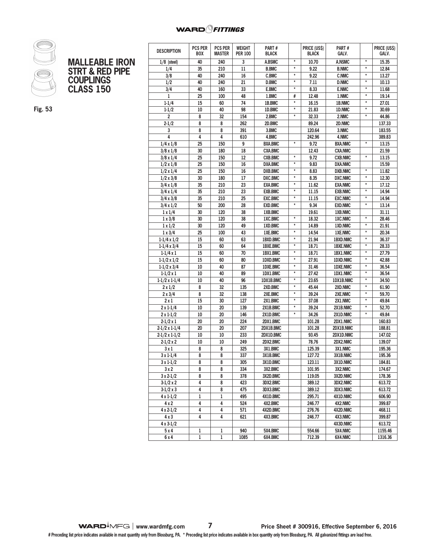### **WARD** *<u>PHTTINGS</u>*



| MALLEABLE IRON             |
|----------------------------|
| <b>STRT &amp; RED PIPE</b> |
| <b>COUPLINGS</b>           |
| <b>CLASS 150</b>           |

**Fig. 53**

| <b>DESCRIPTION</b>      | <b>PCS PER</b> | <b>PCS PER</b><br><b>MASTER</b> | WEIGHT           | Part #         |               | <b>PRICE (USS)</b><br><b>BLACK</b> | Part #          |               | PRICE (US\$) |
|-------------------------|----------------|---------------------------------|------------------|----------------|---------------|------------------------------------|-----------------|---------------|--------------|
|                         | <b>BOX</b>     |                                 | <b>PER 100</b>   | <b>BLACK</b>   |               |                                    | GALV.           |               | GALV.        |
| $1/8$ (steel)           | 40             | 240                             | 3                | A.BSMC         | $\star$       | 10.70                              | <b>A.NSMC</b>   | $\star$       | 15.35        |
| 1/4                     | 35             | 210                             | 11               | <b>B.BMC</b>   | $\star$       | 9.22                               | <b>B.NMC</b>    | $\star$       | 12.84        |
| 3/8                     | 40             | 240                             | 16               | C.BMC          | $\star$       | 9.22                               | <b>C.NMC</b>    | $\star$       | 13.27        |
| 1/2                     | 40             | 240                             | 21               | D.BMC          | $\pmb{\star}$ | 7.11                               | <b>D.NMC</b>    | $\star$       | 10.13        |
| 3/4                     | 40             | 160                             | 33               | E.BMC          | $\star$       | 8.33                               | <b>E.NMC</b>    | $\pmb{\star}$ | 11.68        |
| 1                       | 25             | 100                             | 48               | 1.BMC          | #             | 12.48                              | 1.NMC           | $\star$       | 19.14        |
| $1 - 1/4$               | 15             | 60                              | 74               | 1B.BMC         | $\star$       | 16.15                              | 1B.NMC          | $\star$       | 27.01        |
| $1 - 1/2$               | 10             | 40                              | 98               | 1D.BMC         | $\star$       | 21.83                              | 1D.NMC          | $^\star$      | 30.69        |
| $\overline{\mathbf{c}}$ | 8              | 32                              | 154              | 2.BMC          | $\star$       | 32.33                              | 2.NMC           | $^\star$      | 44.86        |
| $2 - 1/2$               | 8              | 8                               | 262              | 2D.BMC         |               | 89.24                              | 2D.NMC          |               | 137.33       |
| 3                       | 8              | 8                               | 391              | 3.BMC          |               | 120.64                             | 3.NMC           |               | 183.55       |
| 4                       | 4              | 4                               | 610              | 4.BMC          |               | 242.96                             | 4.NMC           |               | 389.83       |
| $1/4 \times 1/8$        | 25             | 150                             | 9                | <b>BXA.BMC</b> | $\star$       | 9.72                               | <b>BXA.NMC</b>  | $\star$       | 13.15        |
| $3/8 \times 1/8$        | 30             | 180                             | 18               | <b>CXA.BMC</b> |               | 12.43                              | <b>CXA.NMC</b>  |               | 21.59        |
| $3/8 \times 1/4$        | 25             | 150                             | 12               | <b>CXB.BMC</b> | $\star$       | 9.72                               | <b>CXB.NMC</b>  | $^\star$      | 13.15        |
| $1/2 \times 1/8$        | 25             | 150                             | 16               | <b>DXA.BMC</b> | $\star$       | 9.83                               | <b>DXA.NMC</b>  |               | 15.59        |
| $1/2 \times 1/4$        | 25             | 150                             | 16               | <b>DXB.BMC</b> | $\star$       | 8.83                               | <b>DXB.NMC</b>  | $\star$       | 11.82        |
| $1/2 \times 3/8$        | 30             | 180                             | 17               | DXC.BMC        | $\star$       | 8.35                               | <b>DXC.NMC</b>  | $\star$       | 12.30        |
| $3/4 \times 1/8$        | 35             | 210                             | 23               | <b>EXA.BMC</b> | $\star$       | 11.62                              | <b>EXA.NMC</b>  | $\star$       | 17.12        |
| $3/4 \times 1/4$        | 35             | 210                             | 23               | <b>EXB.BMC</b> | $\star$       | 11.15                              | <b>EXB.NMC</b>  | $\star$       | 14.94        |
| $3/4 \times 3/8$        | 35             | 210                             | 25               | <b>EXC.BMC</b> | $\star$       | 11.15                              | <b>EXC.NMC</b>  | $\star$       | 14.94        |
| $3/4 \times 1/2$        | 50             | 200                             | 28               | <b>EXD.BMC</b> | $\star$       | 9.34                               | <b>EXD.NMC</b>  | $\star$       | 13.14        |
| $1 \times 1/4$          | 30             | 120                             | 38               | 1XB.BMC        |               | 19.61                              | 1XB.NMC         |               | 31.11        |
| $1 \times 3/8$          | 30             | 120                             | 38               | 1XC.BMC        | $^\star$      | 18.32                              | 1XC.NMC         | $\star$       | 28.46        |
| $1 \times 1/2$          | 30             | 120                             | 49               | 1XD.BMC        | $\star$       | 14.89                              | 1XD.NMC         | $\pmb{\star}$ | 21.91        |
| $1 \times 3/4$          | 25             | 100                             | 43               | 1XE.BMC        | $\star$       | 14.54                              | 1XE.NMC         | $\star$       | 20.34        |
| $1-1/4 \times 1/2$      | 15             | 60                              | 63               | 1BXD.BMC       | $\pmb{\star}$ | 21.94                              | 1BXD.NMC        | $^\star$      | 36.37        |
| $1-1/4 \times 3/4$      | 15             | 60                              | 64               | 1BXE.BMC       | $\star$       | 18.71                              | <b>1BXE.NMC</b> | $\star$       | 28.33        |
| $1-1/4x1$               | 15             | 60                              | 70               | 1BX1.BMC       | $^\star$      | 18.71                              | 1BX1.NMC        | $^\star$      | 27.79        |
| $1-1/2 \times 1/2$      | 15             | 60                              | 80               | 1DXD.BMC       | $\star$       | 27.91                              | 1DXD.NMC        | $\star$       | 42.88        |
| $1-1/2 \times 3/4$      | 10             | 40                              | 87               | 1DXE.BMC       | $\star$       | 31.46                              | <b>1DXE.NMC</b> | $\star$       | 36.54        |
| $1-1/2 \times 1$        | 10             | 40                              | 89               | 1DX1.BMC       | $^\star$      | 27.42                              | 1DX1.NMC        | $^\star$      | 36.54        |
| $1-1/2 \times 1-1/4$    | 10             | 40                              | 96               | 1DX1B.BMC      | *             | 23.65                              | 1DX1B.NMC       | $\star$       | 34.50        |
| $2 \times 1/2$          | 8              | 32                              | 135              | 2XD.BMC        | $\star$       | 45.44                              | 2XD.NMC         | $\star$       | 61.90        |
| $2 \times 3/4$          | 8              | 32                              | 138              | 2XE.BMC        | *             | 39.24                              | 2XE.NMC         | $^\star$      | 59.70        |
| $2 \times 1$            | 15             | 30                              | 127              | 2X1.BMC        | $\star$       | 37.08                              | 2X1.NMC         | $\star$       | 49.84        |
| $2 \times 1 - 1/4$      | 10             | 20                              | 139              | 2X1B.BMC       | $\star$       | 39.24                              | 2X1B.NMC        | $^\star$      | 52.70        |
| $2 \times 1 - 1/2$      | 10             | 20                              | 146              | 2X1D.BMC       | $\star$       | 34.26                              | 2X1D.NMC        | $\star$       | 49.84        |
| $2-1/2 \times 1$        | 20             | 20                              | 224              | 2DX1.BMC       |               | 101.28                             | 2DX1.NMC        |               | 160.83       |
| $2-1/2 \times 1-1/4$    | 20             | 20                              | 207              | 2DX1B.BMC      |               | 101.28                             | 2DX1B.NMC       |               | 188.81       |
| $2-1/2 \times 1-1/2$    | 10             | 10                              | 233              | 2DX1D.BMC      |               | 93.45                              | 2DX1D.NMC       |               | 147.02       |
|                         |                |                                 |                  | 2DX2.BMC       |               | 78.76                              | 2DX2.NMC        |               | 139.07       |
| $2-1/2 \times 2$        | 10             | 10                              | 249              |                |               |                                    |                 |               |              |
| 3x1                     | 8              | 8                               | 325              | 3X1.BMC        |               | 125.39                             | 3X1.NMC         |               | 195.36       |
| $3 \times 1 - 1/4$      | 8              | 8                               | $\overline{337}$ | 3X1B.BMC       |               | 127.72                             | 3X1B.NMC        |               | 195.36       |
| 3 x 1-1/2               | 8              | 8                               | 305              | 3X1D.BMC       |               | 123.11                             | 3X1D.NMC        |               | 184.81       |
| 3x2                     | 8              | 8                               | 334              | 3X2.BMC        |               | 101.95                             | 3X2.NMC         |               | 174.67       |
| $3x2-1/2$               | 8              | 8                               | 378              | 3X2D.BMC       |               | 119.05                             | 3X2D.NMC        |               | 178.36       |
| $3-1/2 \times 2$        | 4              | 8                               | 423              | 3DX2.BMC       |               | 389.12                             | 3DX2.NMC        |               | 613.72       |
| $3-1/2 \times 3$        | 4              | 8                               | 475              | 3DX3.BMC       |               | 389.12                             | 3DX3.NMC        |               | 613.72       |
| $4 \times 1 - 1/2$      | 1              | 1                               | 495              | 4X1D.BMC       |               | 295.71                             | 4X1D.NMC        |               | 606.90       |
| 4x2                     | 4              | 4                               | 524              | 4X2.BMC        |               | 246.77                             | 4X2.NMC         |               | 399.87       |
| 4 x 2-1/2               | 4              | 4                               | 571              | 4X2D.BMC       |               | 276.76                             | 4X2D.NMC        |               | 468.11       |
| 4 x 3                   | 4              | 4                               | 621              | 4X3.BMC        |               | 246.77                             | 4X3.NMC         |               | 399.87       |
| $4 \times 3 - 1/2$      |                |                                 |                  |                |               |                                    | 4X3D.NMC        |               | 613.72       |
| 5 x 4                   | 1              | 1                               | 940              | 5X4.BMC        |               | 554.66                             | 5X4.NMC         |               | 1155.46      |
| 6x4                     | $\,1$          | $\,1$                           | 1085             | 6X4.BMC        |               | 712.39                             | 6X4.NMC         |               | 1316.36      |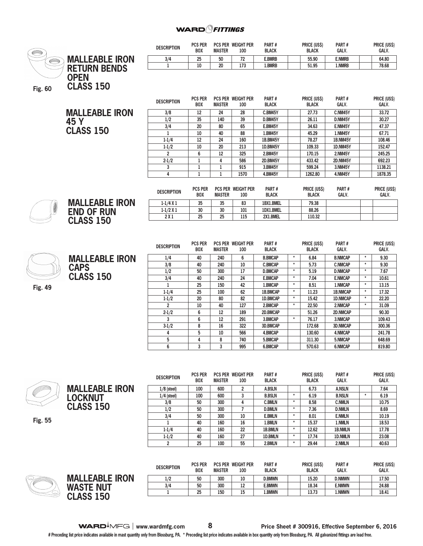#### **WARD** *FITTINGS*



**Fig. 55**

| $1/4$ (steel) | 100 | 600 | C  | <b>B.BSLN</b> | $\star$ | 6.19  | <b>B.NSLN</b>  | ÷ | 6.19                                                                                                            |
|---------------|-----|-----|----|---------------|---------|-------|----------------|---|-----------------------------------------------------------------------------------------------------------------|
| 3/8           | 50  | 300 | 4  | <b>C.BMLN</b> | $\star$ | 8.58  | <b>C.NMLN</b>  |   | 10.75                                                                                                           |
| 1/2           | 50  | 300 |    | <b>D.BMLN</b> | $\star$ | 7.36  | <b>D.NMLN</b>  |   | 8.69                                                                                                            |
| 3/4           | 50  | 300 | 10 | <b>E.BMLN</b> | $\star$ | 8.01  | <b>E.NMLN</b>  |   | 10.19                                                                                                           |
|               | 40  | 160 | 16 | 1.BMLN        | $\star$ | 15.37 | 1.NMLN         |   | 18.53                                                                                                           |
| $1 - 1/4$     | 40  | 160 | 22 | 1B.BMLN       | ٠       | 12.62 | <b>1B.NMLN</b> |   | 17.78                                                                                                           |
| $1 - 1/2$     | 40  | 160 | 27 | 1D.BMLN       | $\star$ | 17.74 | 1D.NMLN        |   | 23.08                                                                                                           |
| ົ             | 25  | 100 | 55 | 2.BMLN        | $\star$ | 29.44 | 2.NMLN         |   | 40.63                                                                                                           |
|               |     |     |    |               |         |       |                |   |                                                                                                                 |
|               |     |     |    |               |         |       |                |   |                                                                                                                 |
|               |     |     |    |               |         |       |                |   | the contract of the contract of the contract of the contract of the contract of the contract of the contract of |

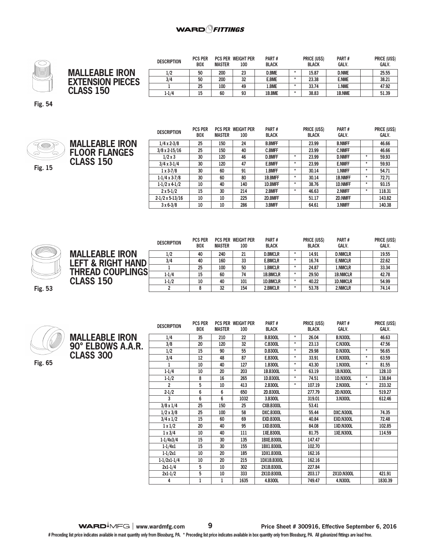

|                         | <b>DESCRIPTION</b> | <b>PCS PER</b><br><b>BOX</b> | <b>MASTER</b> | <b>PCS PER WEIGHT PER</b><br>100 | PART#<br><b>BLACK</b> | <b>PRICE (USS)</b><br><b>BLACK</b> | PART#<br><b>GALV.</b> | <b>PRICE (USS)</b><br><b>GALV.</b> |
|-------------------------|--------------------|------------------------------|---------------|----------------------------------|-----------------------|------------------------------------|-----------------------|------------------------------------|
| <b>MALLEABLE IRON</b>   | 1/2                | 50                           | 200           | 23                               | <b>D.BME</b>          | 15.87                              | <b>D.NME</b>          | 25.55                              |
| <b>EXTENSION PIECES</b> | 3/4                | 50                           | 200           | 32                               | <b>E.BME</b>          | 23.38                              | <b>E.NME</b>          | 38.21                              |
|                         |                    | 25                           | 100           | 49                               | l.BME                 | 33.74                              | 1.NME                 | 47.92                              |
| <b>CLASS 150</b>        | $1 - 1/4$          | 15                           | 60            | 93                               | 1B.BME                | 38.83                              | 1B.NME                | 51.39                              |

**Fig. 54**



|                       | <b>DESCRIPTION</b>     | <b>PCS PER</b><br><b>BOX</b> | <b>MASTER</b> | <b>PCS PER WEIGHT PER</b><br>100 | PART#<br><b>BLACK</b> |         | <b>PRICE (US\$)</b><br><b>BLACK</b> | PART#<br><b>GALV.</b> |         | <b>PRICE (US\$)</b><br>GALV. |
|-----------------------|------------------------|------------------------------|---------------|----------------------------------|-----------------------|---------|-------------------------------------|-----------------------|---------|------------------------------|
| <b>MALLEABLE IRON</b> | $1/4 \times 2 - 3/8$   | 25                           | 150           | 24                               | <b>B.BMFF</b>         |         | 23.99                               | <b>B.NMFF</b>         |         | 46.66                        |
| <b>FLOOR FLANGES</b>  | $3/8 \times 2 - 15/16$ | 25                           | 150           | 40                               | <b>C.BMFF</b>         |         | 23.99                               | <b>C.NMFF</b>         |         | 46.66                        |
|                       | $1/2 \times 3$         | 30                           | 120           | 46                               | <b>D.BMFF</b>         | $\star$ | 23.99                               | <b>D.NMFF</b>         | $\star$ | 59.93                        |
| <b>CLASS 150</b>      | $3/4 \times 3 - 1/4$   | 30                           | 120           | 47                               | <b>E.BMFF</b>         | $\star$ | 23.99                               | <b>E.NMFF</b>         | $\star$ | 59.93                        |
|                       | $1 \times 3 - 7/8$     | 30                           | 60            | 91                               | 1.BMFF                | $\star$ | 30.14                               | 1.NMFF                | $\star$ | 54.71                        |
|                       | $1-1/4 \times 3-7/8$   | 30                           | 60            | 80                               | 1B.BMFF               | $\star$ | 30.14                               | <b>1B.NMFF</b>        | $\star$ | 72.71                        |
|                       | $1-1/2 \times 4-1/2$   | 10                           | 40            | 140                              | 1D.BMFF               | $\star$ | 38.76                               | <b>1D.NMFF</b>        | $\star$ | 93.15                        |
|                       | $2 \times 5 - 1/2$     | 15                           | 30            | 214                              | 2.BMFF                | $\star$ | 46.63                               | 2.NMFF                | $\star$ | 118.31                       |
|                       | $2-1/2 \times 5-13/16$ | 10                           | 10            | 225                              | 2D.BMFF               |         | 51.17                               | 2D.NMFF               |         | 143.82                       |
|                       | $3 \times 6 - 3/8$     | 10                           | 10            | 286                              | 3.BMFF                |         | 64.61                               | 3.NMFF                |         | 140.38                       |



|                              | <b>DESCRIPTION</b> | <b>PCS PER</b><br><b>BOX</b> | <b>MASTER</b> | <b>PCS PER WEIGHT PER</b><br>100 | PART#<br><b>BLACK</b> | <b>PRICE (USS)</b><br><b>BLACK</b> | PART#<br><b>GALV.</b> | <b>PRICE (US\$)</b><br>GALV. |
|------------------------------|--------------------|------------------------------|---------------|----------------------------------|-----------------------|------------------------------------|-----------------------|------------------------------|
| <b>MALLEABLE IRON</b>        | 1/2                | 40                           | 240           | 21                               | <b>D.BMCLR</b>        | 14.91                              | <b>D.NMCLR</b>        | 19.55                        |
| <b>LEFT &amp; RIGHT HAND</b> | 3/4                | 40                           | 160           | 33                               | <b>E.BMCLR</b>        | 16.74                              | <b>E.NMCLR</b>        | 22.62                        |
|                              |                    | 25                           | 100           | 50                               | 1.BMCLR               | 24.87                              | 1.NMCLR               | 33.34                        |
| <b>THREAD COUPLINGS</b>      | $1 - 1/4$          | 15                           | 60            | 74                               | <b>1B.BMCLR</b>       | 29.50                              | <b>1B.NMCLR</b>       | 42.78                        |
| <b>CLASS 150</b>             | $1-1/2$            | 10                           | 40            | 101                              | <b>1D.BMCLR</b>       | 40.22                              | <b>1D.NMCLR</b>       | 54.99                        |
|                              |                    | 8                            | 32            | 154                              | 2.BMCLR               | 53.78                              | 2.NMCLR               | 74.14                        |

**Fig. 53**



**90° ELBOWS A.A.R. DESCRIPTION PCS PER BOX PCS PER WEIGHT PER MASTER 100 PART # BLACK PRICE (US\$) BLACK PART # GALV. PRICE (US\$) GALV. 1/4 35 210 22 B.B300L \* 26.04 B.N300L 46.63 3/8 20 120 32 C.B300L \* 23.13 C.N300L 47.56 1/2 15 90 55 D.B300L \* 29.98 D.N300L \* 56.65 3/4 12 48 87 E.B300L \* 33.91 E.N300L \* 63.59 1 10 40 127 1.B300L \* 43.30 1.N300L \* 81.55 1-1/4 10 20 203 1B.B300L \* 63.19 1B.N300L 128.10 1-1/2 8 16 265 1D.B300L \* 74.51 1D.N300L \* 138.84 2 5 10 413 2.B300L \* 107.19 2.N300L \* 233.32 2-1/2 6 6 650 2D.B300L 277.79 2D.N300L 519.27 3 6 6 1032 3.B300L 319.01 3.N300L 612.46 3/8 x 1/4 25 150 25 CXB.B300L 53.41 1/2 x 3/8 25 100 58 DXC.B300L 55.44 DXC.N300L 74.35 3/4 x 1/2 15 60 69 EXD.B300L 40.84 EXD.N300L 72.48 1 x 1/2 20 40 95 1XD.B300L 84.08 1XD.N300L 102.85 1 x 3/4 10 40 111 1XE.B300L 81.75 1XE.N300L 114.59 1-1/4x3/4 15 30 135 1BXE.B300L 147.47 1-1/4x1 15 30 155 1BX1.B300L 102.70 1-1/2x1 10 20 185 1DX1.B300L 162.16 1-1/2x1-1/4 10 20 215 1DX1B.B300L 162.16 2x1-1/4 5 10 302 2X1B.B300L 227.84 2x1-1/2 5 10 333 2X1D.B300L 203.17 2X1D.N300L 421.91 4 1 1 1635 4.B300L 749.47 4.N300L 1830.39**

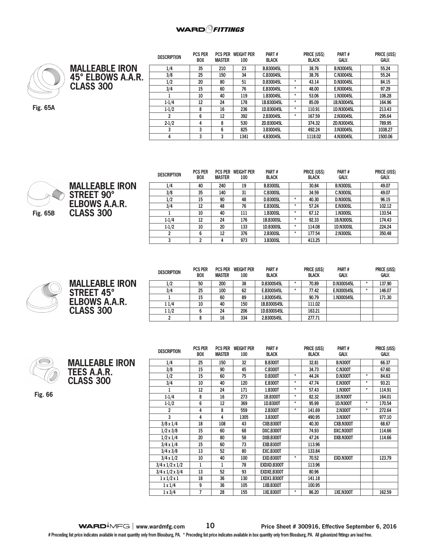

**MALLEABLE IRON 45° ELBOWS A.A.R. CLASS 300**

**Fig. 65A**

| <b>DESCRIPTION</b> | PUS PER<br><b>BOX</b> | PUS PER<br><b>MASTER</b> | WEIGHT PER<br>100 | <b>PARI</b> #<br><b>BLACK</b> |         | <b>PRICE (USS)</b><br><b>BLACK</b> | <b>PARI#</b><br>GALV. | <b>PRICE (USS)</b><br>GALV. |
|--------------------|-----------------------|--------------------------|-------------------|-------------------------------|---------|------------------------------------|-----------------------|-----------------------------|
| 1/4                | 35                    | 210                      | 23                | <b>B.B30045L</b>              |         | 38.76                              | <b>B.N30045L</b>      | 55.24                       |
| 3/8                | 25                    | 150                      | 34                | C.B30045L                     |         | 38.76                              | C.N30045L             | 55.24                       |
| 1/2                | 20                    | 80                       | 51                | D.B30045L                     | $\star$ | 43.14                              | D.N30045L             | 84.15                       |
| 3/4                | 15                    | 60                       | 76                | E.B30045L                     | $\star$ | 48.00                              | E.N30045L             | 97.29                       |
|                    | 10                    | 40                       | 119               | 1.B30045L                     | $\star$ | 53.06                              | 1.N30045L             | 106.28                      |
| $1-1/4$            | 12                    | 24                       | 178               | 1B.B30045L                    | $\star$ | 85.09                              | 1B.N30045L            | 164.96                      |
| $1-1/2$            | 8                     | 16                       | 236               | 1D.B30045L                    | $\star$ | 110.91                             | 1D.N30045L            | 213.43                      |
| 2                  | 6                     | 12                       | 392               | 2.B30045L                     | $\star$ | 167.59                             | 2.N30045L             | 295.64                      |
| $2 - 1/2$          | 4                     | 8                        | 530               | 2D.B30045L                    |         | 374.32                             | 2D.N30045L            | 789.95                      |
| 3                  | 3                     | 6                        | 825               | 3.B30045L                     |         | 492.24                             | 3.N30045L             | 1038.27                     |
| 4                  | 3                     | 3                        | 1341              | 4.B30045L                     |         | 1118.02                            | 4.N30045L             | 1500.06                     |

----- ----



**MALLEABLE IRON STREET 90° ELBOWS A.A.R. CLASS 300**

| <b>DESCRIPTION</b> | <b>PCS PER</b><br><b>BOX</b> | <b>PCS PER</b><br><b>MASTER</b> | <b>WEIGHT PER</b><br>100 | PART#<br><b>BLACK</b> |         | PRICE (US\$)<br><b>BLACK</b> | PART#<br>GALV.   | <b>PRICE (US\$)</b><br><b>GALV.</b> |
|--------------------|------------------------------|---------------------------------|--------------------------|-----------------------|---------|------------------------------|------------------|-------------------------------------|
| 1/4                | 40                           | 240                             | 19                       | <b>B.B300SL</b>       |         | 30.84                        | <b>B.N300SL</b>  | 49.07                               |
| 3/8                | 35                           | 140                             | 31                       | <b>C.B300SL</b>       |         | 34.59                        | <b>C.N300SL</b>  | 49.07                               |
| 1/2                | 15                           | 90                              | 48                       | <b>D.B300SL</b>       | ÷       | 40.30                        | <b>D.N300SL</b>  | 96.15                               |
| 3/4                | 12                           | 48                              | 76                       | <b>E.B300SL</b>       | ÷       | 57.24                        | <b>E.N300SL</b>  | 102.12                              |
|                    | 10                           | 40                              | 111                      | 1.B300SL              | $\star$ | 67.12                        | 1.N300SL         | 133.54                              |
| $1 - 1/4$          | 12                           | 24                              | 176                      | 1B.B300SL             | ÷       | 92.33                        | <b>1B.N300SL</b> | 174.43                              |
| $1-1/2$            | 10                           | 20                              | 133                      | 1D.B300SL             | $\star$ | 114.08                       | 1D.N300SL        | 224.24                              |
|                    | 6                            | 12                              | 376                      | 2.B300SL              | ÷       | 177.54                       | 2.N300SL         | 350.48                              |
| 3                  | <sup>2</sup>                 | 4                               | 973                      | 3.B300SL              |         | 413.25                       |                  |                                     |



**MALLEABLE IRON STREET 45° ELBOWS A.A.R. CLASS 300**

| <b>DESCRIPTION</b> | <b>PCS PER</b><br><b>BOX</b> | <b>PCS PER</b><br><b>MASTER</b> | <b>WEIGHT PER</b><br>100 | PART#<br><b>BLACK</b> |   | PRICE (US\$)<br><b>BLACK</b> | PART#<br><b>GALV.</b> |   | PRICE (US\$)<br><b>GALV.</b> |
|--------------------|------------------------------|---------------------------------|--------------------------|-----------------------|---|------------------------------|-----------------------|---|------------------------------|
| 1/2                | 50                           | 200                             | 38                       | D.B300S45L            | ٠ | 70.89                        | D.N300S45L            | ÷ | 137.90                       |
| 3/4                | 25                           | 100                             | 62                       | E.B300S45L            | ٠ | 77.42                        | <b>E.N300S45L</b>     | ÷ | 146.07                       |
|                    | 15                           | 60                              | 89                       | 1.B300S45L            |   | 90.79                        | 1.N300S45L            |   | 171.30                       |
| 11/4               | 10                           | 40                              | 150                      | 1B.B300S45L           |   | 111.02                       |                       |   |                              |
| 11/2               |                              | 24                              | 206                      | 1D.B300S45L           |   | 163.21                       |                       |   |                              |
| າ                  |                              | 16                              | 334                      | 2.B300S45L            |   | 277.71                       |                       |   |                              |

|--|

**MALLEABLE IRON TEES A.A.R. CLASS 300** 

**Fig. 66**

|                             | <b>PCS PER</b> | <b>PCS PER</b> | <b>WEIGHT PER</b> | Part#            |          | <b>PRICE (USS)</b> | Part#            |         | <b>PRICE (USS)</b> |
|-----------------------------|----------------|----------------|-------------------|------------------|----------|--------------------|------------------|---------|--------------------|
| <b>DESCRIPTION</b>          | <b>BOX</b>     | <b>MASTER</b>  | 100               | <b>BLACK</b>     |          | <b>BLACK</b>       | <b>GALV.</b>     |         | <b>GALV.</b>       |
| 1/4                         | 25             | 150            | 32                | <b>B.B300T</b>   |          | 32.81              | <b>B.N300T</b>   |         | 66.37              |
| 3/8                         | 15             | 90             | 45                | <b>C.B300T</b>   |          | 34.73              | <b>C.N300T</b>   |         | 67.60              |
| 1/2                         | 15             | 60             | 75                | <b>D.B300T</b>   | $\star$  | 44.24              | <b>D.N300T</b>   | $\star$ | 84.63              |
| 3/4                         | 10             | 40             | 120               | <b>E.B300T</b>   | $\star$  | 47.74              | <b>E.N300T</b>   | $\star$ | 93.21              |
|                             | 12             | 24             | 171               | 1.B300T          | $^\star$ | 57.43              | 1.N300T          | $\star$ | 114.91             |
| $1 - 1/4$                   | 8              | 16             | 273               | 1B.B300T         | $\star$  | 82.32              | <b>1B.N300T</b>  |         | 164.01             |
| $1 - 1/2$                   | 6              | 12             | 369               | 1D.B300T         | $\star$  | 95.99              | 1D.N300T         | $\star$ | 170.54             |
| 2                           | 4              | 8              | 559               | 2.B300T          | $\star$  | 141.69             | 2.N300T          | $\star$ | 272.64             |
| 3                           | 4              | 4              | 1305              | 3.B300T          |          | 490.95             | 3.N300T          |         | 977.10             |
| $3/8 \times 1/4$            | 18             | 108            | 43                | <b>CXB.B300T</b> |          | 40.30              | CXB.N300T        |         | 68.67              |
| 1/2 x 3/8                   | 15             | 60             | 68                | DXC.B300T        |          | 74.93              | DXC.N300T        |         | 114.66             |
| $1/2 \times 1/4$            | 20             | 80             | 58                | DXB.B300T        |          | 47.24              | DXB.N300T        |         | 114.66             |
| $3/4 \times 1/4$            | 15             | 60             | 73                | <b>EXB.B300T</b> |          | 113.96             |                  |         |                    |
| $3/4 \times 3/8$            | 13             | 52             | 80                | <b>EXC.B300T</b> |          | 133.84             |                  |         |                    |
| $3/4 \times 1/2$            | 10             | 40             | 100               | <b>EXD.B300T</b> | $\star$  | 70.52              | EXD.N300T        |         | 123.79             |
| $3/4 \times 1/2 \times 1/2$ | 1              | 1              | 78                | EXDXD.B300T      |          | 113.96             |                  |         |                    |
| $3/4 \times 1/2 \times 3/4$ | 13             | 52             | 93                | EXDXE.B300T      |          | 80.96              |                  |         |                    |
| $1 \times 1/2 \times 1$     | 18             | 36             | 130               | 1XDX1.B300T      |          | 141.18             |                  |         |                    |
| $1 \times 1/4$              | 9              | 36             | 105               | 1XB.B300T        |          | 100.95             |                  |         |                    |
| $1 \times 3/4$              | 7              | 28             | 155               | 1XE.B300T        | $\star$  | 86.20              | <b>1XE.N300T</b> |         | 162.59             |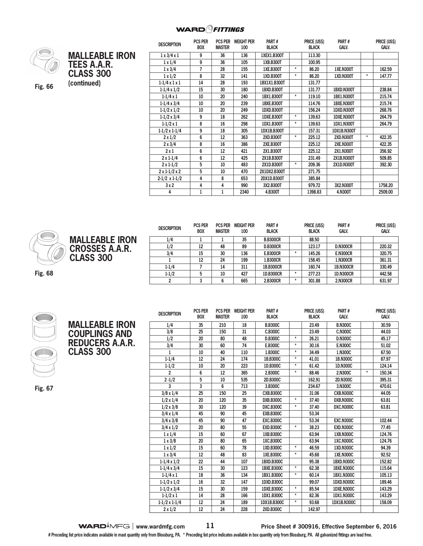

**(continued) Fig. 66**

| <b>MALLEABLE IRON</b><br><b>TEES A.A.R.</b><br><b>CLASS 300</b><br>(continued) |  |
|--------------------------------------------------------------------------------|--|
|                                                                                |  |

| <b>PCS PER</b> |               |      | PART#                               |          |              |                    |          | PRICE (US\$) |
|----------------|---------------|------|-------------------------------------|----------|--------------|--------------------|----------|--------------|
| <b>BOX</b>     | <b>MASTER</b> | 100  | <b>BLACK</b>                        |          | <b>BLACK</b> | <b>GALV.</b>       |          | Galv.        |
| 9              | 36            | 136  | 1XEX1.B300T                         |          | 113.30       |                    |          |              |
| 9              | 36            | 105  | 1XB.B300T                           |          | 100.95       |                    |          |              |
| $\overline{7}$ | 28            | 155  | 1XE.B300T                           | $\star$  | 86.20        | <b>1XE.N300T</b>   |          | 162.59       |
| 8              | 32            | 141  | 1XD.B300T                           | $\star$  | 86.20        | 1XD.N300T          | $^\star$ | 147.77       |
| 14             | 28            | 193  | 1BX1X1.B300T                        |          | 131.77       |                    |          |              |
| 15             | 30            | 180  | 1BXD.B300T                          |          | 131.77       | 1BXD.N300T         |          | 238.84       |
| 10             | 20            | 240  | 1BX1.B300T                          | $^\star$ | 119.10       | <b>1BX1.N300T</b>  |          | 215.74       |
| 10             | 20            | 239  | <b>1BXE.B300T</b>                   |          | 114.76       | 1BXE.N300T         |          | 215.74       |
| 10             | 20            | 249  | 1DXD.B300T                          |          | 156.24       | 1DXD.N300T         |          | 268.76       |
| 9              | 18            | 262  | 1DXE.B300T                          | $\star$  | 139.63       | 1DXE.N300T         |          | 264.79       |
| 8              | 16            | 298  | 1DX1.B300T                          | $\star$  | 139.63       | <b>1DX1.N300T</b>  |          | 264.79       |
| 9              | 18            | 305  | 1DX1B.B300T                         |          | 157.31       | <b>1DX1B.N300T</b> |          |              |
| 6              | 12            | 363  | 2XD.B300T                           | $\star$  | 225.12       | <b>2XD.N300T</b>   | $\star$  | 422.35       |
| 8              | 16            | 386  | 2XE.B300T                           |          | 225.12       | <b>2XE.N300T</b>   |          | 422.35       |
| 6              | 12            | 421  | 2X1.B300T                           |          | 225.12       | 2X1.N300T          |          | 356.92       |
| 6              | 12            | 425  | 2X1B.B300T                          |          | 231.49       | 2X1B.N300T         |          | 509.85       |
| 5              | 10            | 483  | 2X1D.B300T                          | $\star$  | 209.36       | 2X1D.N300T         |          | 392.30       |
| 5              | 10            | 470  | 2X1DX2.B300T                        |          | 271.75       |                    |          |              |
| 4              | 8             | 653  | 2DX1D.B300T                         |          | 385.84       |                    |          |              |
| 4              | 4             | 990  | 3X2.B300T                           |          | 979.72       | 3X2.N300T          |          | 1758.20      |
| 1              | 1             | 2340 | 4.B300T                             |          | 1398.83      | 4.N300T            |          | 2509.00      |
|                |               |      | <b>PCS PER</b><br><b>WEIGHT PER</b> |          |              | PRICE (US\$)       | PART#    |              |



**Fig. 68**

| <b>DESCRIPTION</b> | <b>PCS PER</b><br><b>BOX</b> | <b>PCS PER</b><br><b>MASTER</b> | <b>WEIGHT PER</b><br>100 | PART#<br><b>BLACK</b> |         | PRICE (US\$)<br><b>BLACK</b> | PART#<br><b>GALV.</b> | PRICE (US\$)<br><b>GALV.</b> |
|--------------------|------------------------------|---------------------------------|--------------------------|-----------------------|---------|------------------------------|-----------------------|------------------------------|
| 1/4                |                              |                                 | 35                       | <b>B.B300CR</b>       |         | 88.50                        |                       |                              |
| 1/2                | 12                           | 48                              | 89                       | <b>D.B300CR</b>       |         | 123.17                       | <b>D.N300CR</b>       | 220,32                       |
| 3/4                | 15                           | 30                              | 136                      | <b>E.B300CR</b>       | $\star$ | 145.26                       | <b>E.N300CR</b>       | 320.75                       |
|                    | 12                           | 24                              | 199                      | 1.B300CR              |         | 158.45                       | 1.N300CR              | 361.31                       |
| $1-1/4$            |                              | 14                              | 311                      | 1B.B300CR             |         | 160.74                       | <b>1B.N300CR</b>      | 330.49                       |
| $1-1/2$            |                              | 10                              | 427                      | 1D.B300CR             | $\star$ | 277.23                       | <b>1D.N300CR</b>      | 442.58                       |
|                    |                              |                                 | 665                      | 2.B300CR              | $\star$ | 301.88                       | 2.N300CR              | 631.97                       |



**Fig. 67**

**MALLEABLE IRON COUPLINGS AND REDUCERS A.A.R. CLASS 300** 

| <b>DESCRIPTION</b>   | <b>PCS PER</b><br><b>BOX</b> | <b>PCS PER</b><br><b>MASTER</b> | <b>WEIGHT PER</b><br>100 | PART#<br><b>BLACK</b> |          | PRICE (US\$)<br><b>BLACK</b> | PART#<br><b>GALV.</b> | PRICE (US\$)<br><b>GALV.</b> |
|----------------------|------------------------------|---------------------------------|--------------------------|-----------------------|----------|------------------------------|-----------------------|------------------------------|
| 1/4                  | 35                           | 210                             | 18                       | <b>B.B300C</b>        |          | 23.49                        | <b>B.N300C</b>        | 30.59                        |
| 3/8                  | 25                           | 150                             | 31                       | C.B300C               |          | 23.49                        | <b>C.N300C</b>        | 44.03                        |
| 1/2                  | 20                           | 80                              | 48                       | <b>D.B300C</b>        | $^\star$ |                              | <b>D.N300C</b>        | 45.17                        |
| 3/4                  | 30                           | 60                              | 74                       | E.B300C               | $\star$  |                              | <b>E.N300C</b>        | 51.02                        |
| $\mathbf{1}$         | 10                           | 40                              | 110                      | $^\star$<br>1.B300C   |          | 34.49                        | 1.N300C               | 67.50                        |
| $1 - 1/4$            | 12                           | 24                              | 174                      | $\star$<br>1B.B300C   |          | 41.01                        | 1B.N300C              | 87.97                        |
| $1 - 1/2$            | 10                           | 20                              | 223                      | 1D.B300C              | $\star$  | 61.42                        | 1D.N300C              | 124.14                       |
| $\overline{2}$       | 6                            | 12                              | 365                      | 2.B300C               | $\star$  | 88.46                        | 2.N300C               | $\star$<br>150.34            |
| $2 - 1/2$            | 5                            | 10                              | 535                      | 2D.B300C              |          | 162.91                       | 2D.N300C              | 395.31                       |
| 3                    | 3                            | 6                               | 713                      | 3.B300C               |          | 234.67                       | 3.N300C               | 470.61                       |
| $3/8 \times 1/4$     | 25                           | 150                             | 25                       | <b>CXB.B300C</b>      |          | 31.06                        | <b>CXB.N300C</b>      | 44.05                        |
| $1/2 \times 1/4$     | 20                           | 120                             | 35                       | <b>DXB.B300C</b>      | $^\star$ | 37.40                        | <b>DXB.N300C</b>      | 63.81                        |
| $1/2 \times 3/8$     | 30                           | 120                             | 39                       | <b>DXC.B300C</b>      | $^\star$ | 37.40                        | DXC.N300C             | 63.81                        |
| $3/4 \times 1/4$     | 45                           | 90                              | 45                       | <b>EXB.B300C</b>      |          | 53.34                        |                       |                              |
| $3/4 \times 3/8$     | 45                           | 90                              | 47                       | <b>EXC.B300C</b>      |          | 53.34                        | <b>EXC.N300C</b>      | 102.44                       |
| $3/4 \times 1/2$     | 20                           | 80                              | 55                       | <b>EXD.B300C</b>      | $^\star$ | 38.23                        | <b>EXD.N300C</b>      | 77.45                        |
| $1 \times 1/4$       | 15                           | 60                              | 67                       | 1XB.B300C             |          | 63.94                        | 1XB.N300C             | 124.76                       |
| $1 \times 3/8$       | 20                           | 80                              | 65                       | 1XC.B300C             |          | 63.94                        | 1XC.N300C             | 124.76                       |
| $1 \times 1/2$       | 15                           | 60                              | 78                       | 1XD.B300C             | $\star$  | 46.59                        | 1XD.N300C             | 94.39                        |
| $1 \times 3/4$       | 12                           | 48                              | 83                       | 1XE.B300C             | $^\star$ | 45.68                        | <b>1XE.N300C</b>      | 92.52                        |
| $1-1/4 \times 1/2$   | 22                           | 44                              | 107                      | 1BXD.B300C            |          | 95.38                        | 1BXD.N300C            | 152.82                       |
| $1-1/4 \times 3/4$   | 15                           | 30                              | 123                      | 1BXE.B300C            | $\star$  | 62.38                        | <b>1BXE.N300C</b>     | 115.64                       |
| $1-1/4x1$            | 18                           | 36                              | 134                      | 1BX1.B300C            | $\star$  | 60.14                        | 1BX1.N300C            | 105.13                       |
| $1-1/2 \times 1/2$   | 16                           | 32                              | 147                      | 1DXD.B300C            |          | 99.07                        | <b>1DXD.N300C</b>     | 189.46                       |
| $1-1/2 \times 3/4$   | 15                           | 30                              | 159                      | <b>1DXE.B300C</b>     | $^\star$ | 85.54                        | <b>1DXE.N300C</b>     | 143.29                       |
| $1-1/2 \times 1$     | 14                           | 28                              | 166                      | 1DX1.B300C            | $^\star$ | 82.36                        | 1DX1.N300C            | 143.29                       |
| $1-1/2 \times 1-1/4$ | 12                           | 24                              | 189                      | 1DX1B.B300C           | $^\star$ | 93.68                        | 1DX1B.N300C           | 158.09                       |
| $2 \times 1/2$       | 12                           | 24                              | 228                      | <b>2XD.B300C</b>      |          | 142.97                       |                       |                              |

#### **WARD**<sup> $\downarrow$ </sup>MFG | www.wardmfg.com **11 Price Sheet # 300916, Effective September 6, 2016**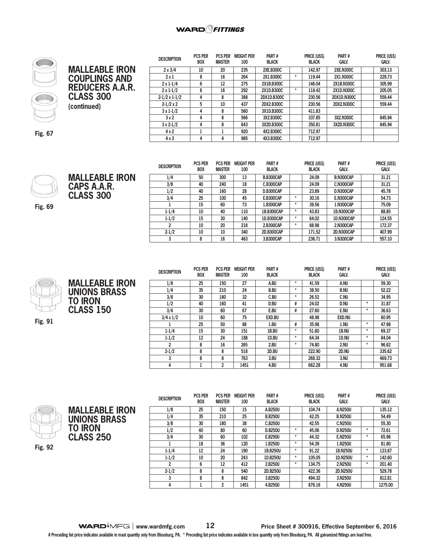#### **WARD**OFITTINGS



## **MALLEABLE IRON COUPLINGS AND REDUCERS A.A.R. CLASS 300 (continued)**

| <b>DESCRIPTION</b>   | PUS PER<br><b>BOX</b> | <b>PUS PER</b><br><b>MASTER</b> | Weight Per<br>100 | <b>PARI#</b><br><b>BLACK</b> | PRICE (USS)<br><b>PARI#</b><br><b>GALV.</b><br><b>BLACK</b> |        | <b>PRICE (USS)</b><br><b>GALV.</b> |        |
|----------------------|-----------------------|---------------------------------|-------------------|------------------------------|-------------------------------------------------------------|--------|------------------------------------|--------|
| $2 \times 3/4$       | 10                    | 20                              | 235               | <b>2XE.B300C</b>             |                                                             | 142.97 | <b>2XE.N300C</b>                   | 303.13 |
| 2x1                  | 8                     | 16                              | 264               | 2X1.B300C                    | $\star$                                                     | 119.44 | 2X1.N300C                          | 229.73 |
| $2 \times 1 - 1/4$   | 6                     | 12                              | 275               | 2X1B,B300C                   |                                                             | 146.04 | 2X1B.N300C                         | 305.99 |
| $2 \times 1 - 1/2$   | 8                     | 16                              | 292               | 2X1D.B300C                   | $\star$                                                     | 118.42 | <b>2X1D.N300C</b>                  | 205.05 |
| $2-1/2 \times 1-1/2$ | 4                     | 8                               | 388               | 2DX1D.B300C                  |                                                             | 230.56 | 2DX1D.N300C                        | 559.44 |
| $2-1/2 \times 2$     | 5                     | 10                              | 437               | 2DX2.B300C                   |                                                             | 230.56 | 2DX2.N300C                         | 559.44 |
| $3x1-1/2$            | 4                     | 8                               | 560               | 3X1D.B300C                   |                                                             | 411.83 |                                    |        |
| 3x2                  | 4                     | 8                               | 566               | 3X2.B300C                    |                                                             | 337.85 | 3X2.N300C                          | 845.94 |
| $3x2-1/2$            | 4                     | 8                               | 643               | 3X2D.B300C                   |                                                             | 350.81 | 3X2D.N300C                         | 845.94 |
| 4x2                  |                       |                                 | 920               | 4X2.B300C                    |                                                             | 712.97 |                                    |        |
| 4x3                  | 4                     | 4                               | 985               | 4X3.B300C                    |                                                             | 712.97 |                                    |        |

 $\sim$   $\sim$   $\sim$   $\sim$   $\sim$   $\sim$ 

 $\frac{1}{2}$ 

**Fig. 67**



**MALLEABLE IRON CAPS A.A.R. CLASS 300**

**Fig. 69**

| <b>DESCRIPTION</b> | <b>PCS PER</b><br><b>BOX</b> | <b>PCS PER</b><br><b>MASTER</b> | <b>WEIGHT PER</b><br>100 | PART#<br><b>BLACK</b> | PRICE (US\$)<br>PART#<br><b>GALV.</b><br><b>BLACK</b> |        | PRICE (US\$)<br><b>GALV.</b> |        |
|--------------------|------------------------------|---------------------------------|--------------------------|-----------------------|-------------------------------------------------------|--------|------------------------------|--------|
| 1/4                | 50                           | 300                             | 13                       | <b>B.B300CAP</b>      |                                                       | 24.09  | B.N300CAP                    | 31.21  |
| 3/8                | 40                           | 240                             | 18                       | C.B300CAP             |                                                       | 24.09  | C.N300CAP                    | 31.21  |
| 1/2                | 40                           | 160                             | 28                       | <b>D.B300CAP</b>      |                                                       | 23.89  | D.N300CAP                    | 45.78  |
| 3/4                | 25                           | 100                             | 45                       | <b>E.B300CAP</b>      | *                                                     | 30.16  | E.N300CAP                    | 54.73  |
|                    | 15                           | 60                              | 73                       | 1.B300CAP             | *                                                     | 39.56  | 1.N300CAP                    | 75.09  |
| $1 - 1/4$          | 10                           | 40                              | 110                      | 1B.B300CAP            | *                                                     | 43.83  | <b>1B.N300CAP</b>            | 88.85  |
| $1-1/2$            | 15                           | 30                              | 140                      | 1D.B300CAP            | *                                                     | 64.02  | 1D.N300CAP                   | 124.55 |
| 2                  | 10                           | 20                              | 218                      | 2.B300CAP             | *                                                     | 88.98  | 2.N300CAP                    | 172.37 |
| $2 - 1/2$          | 10                           | 10                              | 340                      | 2D.B300CAP            |                                                       | 171.52 | <b>2D.N300CAP</b>            | 407.99 |
| 3                  | 8                            | 16                              | 463                      | 3.B300CAP             |                                                       | 236.71 | 3.N300CAP                    | 557.10 |



**MALLEABLE IRON UNIONS BRASS TO IRON CLASS 150** 

**Fig. 91**

| <b>DESCRIPTION</b> | <b>PCS PER</b><br><b>BOX</b> | <b>PCS PER</b><br><b>MASTER</b> | <b>WEIGHT PER</b><br>100 | PART#<br><b>BLACK</b> |         | PRICE (US\$)<br><b>BLACK</b> | PART#<br><b>GALV.</b> |         | PRICE (US\$)<br><b>GALV.</b> |
|--------------------|------------------------------|---------------------------------|--------------------------|-----------------------|---------|------------------------------|-----------------------|---------|------------------------------|
| 1/8                | 25                           | 150                             | 27                       | A.BU                  | $\ast$  | 41.59                        | A.NU                  |         | 59.30                        |
| 1/4                | 35                           | 210                             | 24                       | <b>B.BU</b>           | $\star$ | 38.50                        | <b>B.NU</b>           |         | 52.22                        |
| 3/8                | 30                           | 180                             | 32                       | C.BU                  | $\star$ | 26.52                        | C.NU                  |         | 34.95                        |
| 1/2                | 40                           | 160                             | 41                       | D.BU                  | #       | 24.02                        | D.NU                  | $\star$ | 31.87                        |
| 3/4                | 30                           | 60                              | 67                       | E.BU                  | #       | 27.60                        | E.NU                  | $\star$ | 36.63                        |
| $3/4 \times 1/2$   | 10                           | 60                              | 75                       | <b>EXD.BU</b>         |         | 48.98                        | <b>EXD.NU</b>         |         | 60.95                        |
|                    | 25                           | 50                              | 88                       | 1.BU                  | #       | 35.98                        | 1.NU                  | $\star$ | 47.98                        |
| $1 - 1/4$          | 15                           | 30                              | 151                      | 1B.BU                 | $\star$ | 51.60                        | 1B.NU                 | $\star$ | 69.37                        |
| $1-1/2$            | 12                           | 24                              | 188                      | 1D.BU                 | $\star$ | 64.34                        | 1D.NU                 | $\star$ | 84.04                        |
| 2                  | 8                            | 16                              | 265                      | 2.BU                  | $\ast$  | 74.80                        | 2.NU                  | $\star$ | 96.62                        |
| $2 - 1/2$          | 8                            | 8                               | 518                      | 2D.BU                 |         | 222.90                       | 2D.NU                 |         | 335.62                       |
| 3                  | 8                            | 8                               | 763                      | 3.BU                  |         | 268.32                       | 3.NU                  |         | 469.73                       |
| 4                  |                              | 2                               | 1451                     | 4.BU                  |         | 662.28                       | 4.NU                  |         | 951.68                       |



| <b>MALLEABLE IRON</b><br><b>UNIONS BRASS</b> |
|----------------------------------------------|
| <b>TO IRON</b>                               |
| <b>CLASS 250</b>                             |

**Fig. 92**

| <b>DESCRIPTION</b> | <b>PCS PER</b><br><b>BOX</b> | <b>PCS PER</b><br><b>MASTER</b> | <b>WEIGHT PER</b><br>100 | PART#<br><b>BLACK</b> |         | PRICE (US\$)<br><b>BLACK</b> | PART#<br><b>GALV.</b> |         | PRICE (US\$)<br><b>GALV.</b> |
|--------------------|------------------------------|---------------------------------|--------------------------|-----------------------|---------|------------------------------|-----------------------|---------|------------------------------|
| 1/8                | 25                           | 150                             | 15                       | A.B250U               |         | 104.74                       | A.N250U               |         | 135.12                       |
| 1/4                | 35                           | 210                             | 25                       | <b>B.B250U</b>        |         | 42.25                        | <b>B.N250U</b>        |         | 54.49                        |
| 3/8                | 30                           | 180                             | 38                       | C.B250U               |         | 42.55                        | <b>C.N250U</b>        |         | 55,30                        |
| 1/2                | 40                           | 80                              | 60                       | <b>D.B250U</b>        | $\star$ | 45.06                        | <b>D.N250U</b>        | $\ast$  | 72.61                        |
| 3/4                | 30                           | 60                              | 102                      | E.B250U               | $\star$ | 44.32                        | <b>E.N250U</b>        | $\ast$  | 65.96                        |
|                    | 18                           | 36                              | 120                      | 1.B250U               | $\star$ | 54.39                        | 1.N250U               |         | 81.80                        |
| $1 - 1/4$          | 12                           | 24                              | 190                      | 1B.B250U              | $\star$ | 91.22                        | 1B.N250U              | $\star$ | 123.87                       |
| $1 - 1/2$          | 10                           | 20                              | 243                      | 1D.B250U              | $\star$ | 105.05                       | 1D.N250U              | $\star$ | 142.60                       |
| $\overline{2}$     | 6                            | 12                              | 412                      | 2.B250U               | $\star$ | 134.75                       | 2.N250U               | $\ast$  | 201.40                       |
| $2 - 1/2$          | 8                            | 8                               | 540                      | 2D.B250U              |         | 422.36                       | 2D.N250U              |         | 529.78                       |
| 3                  | 8                            | 8                               | 842                      | 3.B250U               |         | 494.32                       | 3.N250U               |         | 812.81                       |
| 4                  |                              | 2                               | 1451                     | 4.B250U               |         | 876.16                       | 4.N250U               |         | 1275.00                      |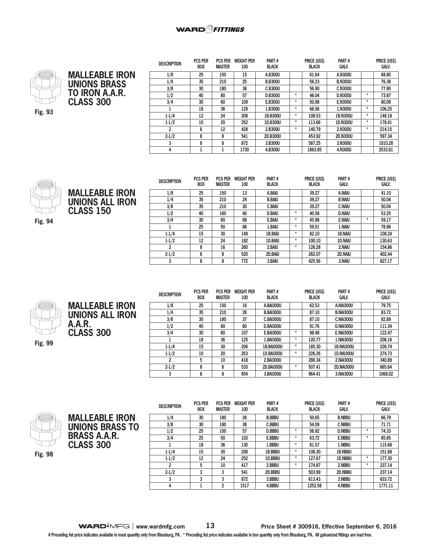



**MALLEABLE IRON UNIONS ALL IRON**

**CLASS 150** 

| <b>DESCRIPTION</b> | <b>PCS PER</b><br><b>BOX</b> | <b>PCS PER</b><br><b>MASTER</b> | <b>WEIGHT PER</b><br>100 | Part#<br><b>BLACK</b> |         | <b>PRICE (USS)</b><br><b>BLACK</b> | Part#<br><b>GALV.</b> |         | <b>PRICE (USS)</b><br><b>GALV.</b> |
|--------------------|------------------------------|---------------------------------|--------------------------|-----------------------|---------|------------------------------------|-----------------------|---------|------------------------------------|
| 1/8                | 25                           | 150                             | 15                       | A.B300U               |         | 61.64                              | A.N300U               |         | 68.80                              |
| 1/4                | 35                           | 210                             | 25                       | <b>B.B300U</b>        |         | 56.23                              | <b>B.N300U</b>        |         | 76.38                              |
| 3/8                | 30                           | 180                             | 38                       | C.B300U               |         | 56,90                              | <b>C.N300U</b>        |         | 77.90                              |
| 1/2                | 40                           | 80                              | 57                       | <b>D.B300U</b>        | $\star$ | 46.04                              | <b>D.N300U</b>        | $\ast$  | 73.87                              |
| 3/4                | 30                           | 60                              | 109                      | E.B300U               | $\star$ | 50.98                              | <b>E.N300U</b>        | $\star$ | 80.09                              |
|                    | 18                           | 36                              | 129                      | 1.B300U               | $\star$ | 66.56                              | 1.N300U               | $\ast$  | 106.25                             |
| $1 - 1/4$          | 12                           | 24                              | 208                      | 1B.B300U              | $\star$ | 108.53                             | 1B.N300U              | $\ast$  | 148.18                             |
| $1 - 1/2$          | 10                           | 20                              | 252                      | 1D.B300U              | $\star$ | 113.66                             | 1D.N300U              | $\ast$  | 178.41                             |
| $\overline{2}$     | 6                            | 12                              | 428                      | 2.B300U               | *       | 140.79                             | 2.N300U               | $\ast$  | 214.15                             |
| $2 - 1/2$          | 8                            | 8                               | 541                      | 2D.B300U              |         | 453.92                             | <b>2D.N300U</b>       |         | 597.34                             |
| 3                  | 8                            | 8                               | 872                      | 3.B300U               |         | 587.25                             | 3.N300U               |         | 1010.28                            |
| 4                  |                              |                                 | 1730                     | 4.B300U               |         | 1863.85                            | 4.N300U               |         | 2533.81                            |



**Fig. 94**

| <b>DESCRIPTION</b> | <b>PCS PER</b> | <b>PCS PER</b> | <b>WEIGHT PER</b> | PART#         |         | PRICE (US\$) | PART#          |         | PRICE (US\$) |
|--------------------|----------------|----------------|-------------------|---------------|---------|--------------|----------------|---------|--------------|
|                    | <b>BOX</b>     | <b>MASTER</b>  | 100               | <b>BLACK</b>  |         | <b>BLACK</b> | <b>GALV.</b>   |         | <b>GALV.</b> |
| 1/8                | 25             | 150            | 13                | A.BAIU        |         | 39.27        | A.NAIU         |         | 41.10        |
| 1/4                | 35             | 210            | 24                | <b>B.BAIU</b> |         | 39.27        | <b>B.NAIU</b>  |         | 50.04        |
| 3/8                | 35             | 210            | 30                | <b>C.BAIU</b> |         | 39.27        | <b>C.NAIU</b>  |         | 50.04        |
| 1/2                | 40             | 160            | 40                | <b>D.BAIU</b> | $\ast$  | 40.58        | <b>D.NAIU</b>  |         | 53.25        |
| 3/4                | 30             | 60             | 68                | E.BAIU        | $\star$ | 45.98        | <b>E.NAIU</b>  | $\star$ | 59.17        |
|                    | 25             | 50             | 88                | 1.BAIU        | $\star$ | 59.51        | 1.NAIU         |         | 78.96        |
| $1 - 1/4$          | 15             | 30             | 149               | 1B.BAIU       | $\ast$  | 82.10        | <b>1B.NAIU</b> |         | 108.24       |
| $1-1/2$            | 12             | 24             | 182               | 1D.BAIU       | $\ast$  | 100.10       | <b>1D.NAIU</b> |         | 130.63       |
| $\overline{2}$     | 8              | 16             | 260               | 2.BAIU        | $\star$ | 126.28       | 2.NAIU         |         | 154.86       |
| $2 - 1/2$          | 8              | 8              | 520               | 2D.BAIU       |         | 262.07       | 2D.NAIU        |         | 402.44       |
| 3                  | 8              | 8              | 772               | 3.BAIU        |         | 425.56       | 3.NAIU         |         | 627.17       |

**Fig. 99**

**MALLEABLE IRON UNIONS ALL IRON A.A.R. CLASS 300** 

**MALLEABLE IRON UNIONS BRASS TO BRASS A.A.R. CLASS 300** 

| <b>DESCRIPTION</b> | <b>PCS PER</b><br><b>BOX</b> | <b>PCS PER</b><br><b>MASTER</b> | <b>WEIGHT PER</b><br>100 | PART#<br><b>BLACK</b> |        | PRICE (US\$)<br><b>BLACK</b> | PART#<br><b>GALV.</b> | PRICE (US\$)<br><b>GALV.</b> |
|--------------------|------------------------------|---------------------------------|--------------------------|-----------------------|--------|------------------------------|-----------------------|------------------------------|
| 1/8                | 25                           | 150                             | 16                       | <b>A.BAI300U</b>      |        | 62.53                        | <b>A.NAI300U</b>      | 79.75                        |
| 1/4                | 35                           | 210                             | 28                       | <b>B.BAI300U</b>      |        | 87.10                        | <b>B.NAI300U</b>      | 83.72                        |
| 3/8                | 30                           | 180                             | 37                       | <b>C.BAI300U</b>      |        | 87.10                        | <b>C.NAI300U</b>      | 82.89                        |
| 1/2                | 40                           | 80                              | 60                       | <b>D.BAI300U</b>      |        | 91.76                        | <b>D.NAI300U</b>      | 111.34                       |
| 3/4                | 30                           | 60                              | 107                      | <b>E.BAI300U</b>      | $\ast$ | 98.48                        | <b>E.NAI300U</b>      | 122.47                       |
|                    | 18                           | 36                              | 125                      | 1.BAI300U             | $\ast$ | 120.77                       | 1.NAI300U             | 208.16                       |
| $1 - 1/4$          | 15                           | 30                              | 206                      | <b>1B.BAI300U</b>     | $\ast$ | 185.30                       | <b>1B.NAI300U</b>     | 226.74                       |
| $1 - 1/2$          | 10                           | 20                              | 253                      | 1D.BAI300U            | *      | 226.26                       | <b>1D.NAI300U</b>     | 274.73                       |
| 2                  | 5                            | 10                              | 418                      | 2.BAI300U             |        | 286.34                       | 2.NAI300U             | 340.89                       |
| $2 - 1/2$          | 8                            | 8                               | 533                      | <b>2D.BAI300U</b>     | $\ast$ | 507.41                       | <b>2D.NAI300U</b>     | 665.64                       |
| 3                  | 8                            | 8                               | 854                      | 3.BAI300U             |        | 964.41                       | 3.NAI300U             | 1068.02                      |



| <b>DESCRIPTION</b> | <b>PCS PER</b><br><b>BOX</b> | <b>PCS PER</b><br><b>MASTER</b> | <b>WEIGHT PER</b><br>100 | PART#<br><b>BLACK</b> |         | PRICE (US\$)<br><b>BLACK</b> | PART#<br>Galv. |         | PRICE (US\$)<br><b>GALV.</b> |
|--------------------|------------------------------|---------------------------------|--------------------------|-----------------------|---------|------------------------------|----------------|---------|------------------------------|
| 1/4                | 30                           | 180                             | 26                       | <b>B.BBBU</b>         |         | 50.65                        | <b>B.NBBU</b>  |         | 66.79                        |
| 3/8                | 30                           | 180                             | 38                       | <b>C.BBBU</b>         |         | 54.09                        | <b>C.NBBU</b>  |         | 71.71                        |
| 1/2                | 25                           | 100                             | 57                       | <b>D.BBBU</b>         | $\star$ | 56.92                        | <b>D.NBBU</b>  | $\ast$  | 74.33                        |
| 3/4                | 25                           | 50                              | 103                      | E.BBBU                | $\star$ | 63.72                        | <b>E.NBBU</b>  | $\ast$  | 85.65                        |
|                    | 18                           | 36                              | 130                      | 1.BBBU                | $\ast$  | 81.57                        | 1.NBBU         |         | 115.68                       |
| $1 - 1/4$          | 15                           | 30                              | 208                      | 1B.BBBU               | $\star$ | 106.30                       | 1B.NBBU        |         | 151.68                       |
| $1 - 1/2$          | 12                           | 24                              | 252                      | 1D.BBBU               | $\ast$  | 127.67                       | 1D.NBBU        | $\ast$  | 177.30                       |
| 2                  | 5                            | 10                              | 417                      | 2.BBBU                | $\ast$  | 174.87                       | 2.NBBU         | $^\ast$ | 237.14                       |
| $2 - 1/2$          | 3                            | 3                               | 541                      | 2D.BBBU               |         | 503.99                       | 2D.NBBU        |         | 237.14                       |
| 3                  | 3                            | 3                               | 872                      | 3.BBBU                |         | 613.43                       | 3.NBBU         |         | 633.72                       |
| 4                  |                              | 2                               | 1517                     | 4.BBBU                |         | 1252.58                      | 4.NBBU         |         | 1771.11                      |